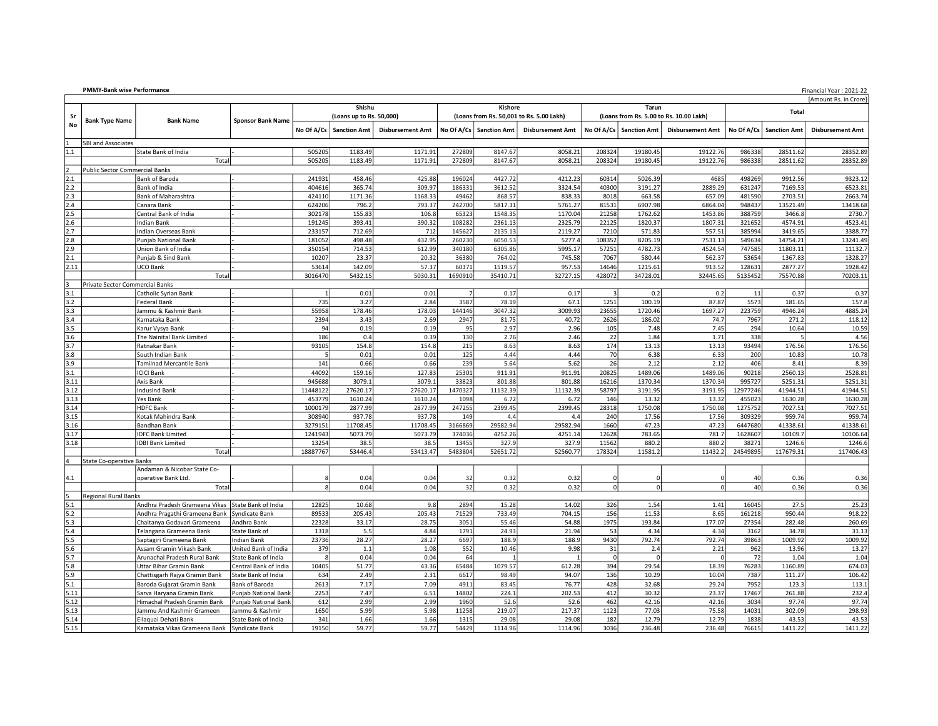| <b>PMMY-Bank wise Performance</b> | Financial Year: 2021-22 |
|-----------------------------------|-------------------------|
|-----------------------------------|-------------------------|

|                            | [Amount Rs. in Crore]                 |                                                   |                            |                |                          |                         |                |                     |                                          |             |                     |                                         |              |                     |                         |
|----------------------------|---------------------------------------|---------------------------------------------------|----------------------------|----------------|--------------------------|-------------------------|----------------|---------------------|------------------------------------------|-------------|---------------------|-----------------------------------------|--------------|---------------------|-------------------------|
| Shishu<br>Kishore<br>Tarun |                                       |                                                   |                            |                |                          |                         | Total          |                     |                                          |             |                     |                                         |              |                     |                         |
| Sr                         | <b>Bank Type Name</b>                 | <b>Bank Name</b>                                  | <b>Sponsor Bank Name</b>   |                | (Loans up to Rs. 50,000) |                         |                |                     | (Loans from Rs. 50,001 to Rs. 5.00 Lakh) |             |                     | (Loans from Rs. 5.00 to Rs. 10.00 Lakh) |              |                     |                         |
| No                         |                                       |                                                   |                            | No Of A/Cs     | <b>Sanction Amt</b>      | <b>Disbursement Amt</b> | No Of A/Cs     | <b>Sanction Amt</b> | <b>Disbursement Amt</b>                  | No Of A/Cs  | <b>Sanction Amt</b> | <b>Disbursement Amt</b>                 | No Of A/Cs   | <b>Sanction Amt</b> | <b>Disbursement Amt</b> |
|                            |                                       |                                                   |                            |                |                          |                         |                |                     |                                          |             |                     |                                         |              |                     |                         |
|                            | <b>SBI and Associates</b>             |                                                   |                            |                |                          |                         |                |                     |                                          |             |                     |                                         |              |                     |                         |
| 1.1                        |                                       | State Bank of India                               |                            | 505205         | 1183.49                  | 1171.91                 | 272809         | 8147.67             | 8058.21                                  | 208324      | 19180.45            | 19122.76                                | 986338       | 28511.62            | 28352.89                |
|                            |                                       | Total                                             |                            | 505205         | 1183.49                  | 1171.91                 | 272809         | 8147.67             | 8058.21                                  | 208324      | 19180.45            | 19122.76                                | 986338       | 28511.62            | 28352.89                |
| ١z                         | <b>Public Sector Commercial Banks</b> |                                                   |                            |                |                          |                         |                |                     |                                          |             |                     |                                         |              |                     |                         |
| 2.1                        |                                       | Bank of Baroda                                    |                            | 241931         | 458.46                   | 425.88                  | 196024         | 4427.72             | 4212.23                                  | 60314       | 5026.39             | 4685                                    | 498269       | 9912.56             | 9323.12                 |
| 2.2                        |                                       | Bank of India                                     |                            | 404616         | 365.74                   | 309.97                  | 186331         | 3612.52             | 3324.54                                  | 40300       | 3191.27             | 2889.29                                 | 631247       | 7169.53             | 6523.81                 |
| 2.3                        |                                       | Bank of Maharashtra                               |                            | 424110         | 1171.36                  | 1168.33                 | 49462          | 868.57              | 838.33                                   | 8018        | 663.58              | 657.09                                  | 481590       | 2703.51             | 2663.74                 |
| 2.4                        |                                       | Canara Bank                                       |                            | 624206         | 796.2                    | 793.37                  | 242700         | 5817.31             | 5761.27                                  | 81531       | 6907.98             | 6864.04                                 | 948437       | 13521.49            | 13418.68                |
| 2.5                        |                                       | Central Bank of India                             |                            | 302178         | 155.83                   | 106.8                   | 65323          | 1548.35             | 1170.04                                  | 21258       | 1762.62             | 1453.86                                 | 388759       | 3466.8              | 2730.7                  |
| 2.6                        |                                       | Indian Bank                                       |                            | 191245         | 393.41                   | 390.32                  | 108282         | 2361.13             | 2325.79                                  | 22125       | 1820.37             | 1807.31                                 | 321652       | 4574.91             | 4523.41                 |
| 2.7                        |                                       | Indian Overseas Bank                              |                            | 233157         | 712.69                   | 712                     | 145627         | 2135.13             | 2119.27                                  | 7210        | 571.83              | 557.51                                  | 385994       | 3419.65             | 3388.77                 |
| 2.8                        |                                       | Punjab National Bank                              |                            | 181052         | 498.48                   | 432.95                  | 260230         | 6050.53             | 5277.4                                   | 108352      | 8205.19             | 7531.13                                 | 549634       | 14754.21            | 13241.49                |
| 2.9                        |                                       | Union Bank of India                               |                            | 350154         | 714.53                   | 612.99                  | 340180         | 6305.86             | 5995.17                                  | 57251       | 4782.73             | 4524.54                                 | 747585       | 11803.11            | 11132.7                 |
| 2.1                        |                                       | Punjab & Sind Bank                                |                            | 10207          | 23.37                    | 20.32                   | 36380          | 764.02              | 745.58                                   | 7067        | 580.44              | 562.37                                  | 53654        | 1367.83             | 1328.27                 |
| 2.11                       |                                       | <b>UCO Bank</b>                                   |                            | 53614          | 142.09                   | 57.37                   | 60371          | 1519.57             | 957.53                                   | 14646       | 1215.61             | 913.52                                  | 128631       | 2877.27             | 1928.42                 |
|                            |                                       | Total                                             |                            | 3016470        | 5432.15                  | 5030.31                 | 1690910        | 35410.71            | 32727.15                                 | 428072      | 34728.01            | 32445.65                                | 5135452      | 75570.88            | 70203.11                |
| lз                         | Private Sector Commercial Banks       |                                                   |                            |                |                          |                         |                |                     |                                          |             |                     |                                         |              |                     |                         |
| 3.1                        |                                       | Catholic Syrian Bank                              |                            | $\overline{1}$ | 0.01                     | 0.01                    | $\overline{7}$ | 0.17                | 0.17                                     | 3           | 0.2                 | 0.2                                     | 11           | 0.37                | 0.37                    |
| 3.2                        |                                       | Federal Bank                                      |                            | 735            | 3.27                     | 2.84                    | 3587           | 78.19               | 67.1                                     | 1251        | 100.19              | 87.87                                   | 5573         | 181.65              | 157.8                   |
| 3.3                        |                                       | Jammu & Kashmir Bank                              |                            | 55958          | 178.46                   | 178.03                  | 144146         | 3047.32             | 3009.93                                  | 23655       | 1720.46             | 1697.27                                 | 223759       | 4946.24             | 4885.24                 |
| 3.4                        |                                       | Karnataka Bank                                    |                            | 2394           | 3.43                     | 2.69                    | 2947           | 81.75               | 40.72                                    | 2626        | 186.02              | 74.7                                    | 7967         | 271.2               | 118.12                  |
| 3.5                        |                                       | Karur Vysya Bank                                  |                            | 94             | 0.19                     | 0.19                    | 95             | 2.97                | 2.96                                     | 105         | 7.48                | 7.45                                    | 294          | 10.64               | 10.59                   |
| 3.6                        |                                       | The Nainital Bank Limited                         |                            | 186            | 0.4                      | 0.39                    | 130            | 2.76                | 2.46                                     | 22          | 1.84                | 1.71                                    | 338          | 5                   | 4.56                    |
| 3.7                        |                                       | Ratnakar Bank                                     |                            | 93105          | 154.8                    | 154.8                   | 215            | 8.63                | 8.63                                     | 174         | 13.13               | 13.13                                   | 93494        | 176.56              | 176.56                  |
| 3.8                        |                                       | South Indian Bank                                 |                            |                | 0.01                     | 0.01                    | 125            | 4.44                | 4.44                                     | 70          | 6.38                | 6.33                                    | 200          | 10.83               | 10.78                   |
| 3.9                        |                                       | <b>Tamilnad Mercantile Bank</b>                   |                            | 141            | 0.66                     | 0.66                    | 239            | 5.64                | 5.62                                     | 26          | 2.12                | 2.12                                    | 406          | 8.41                | 8.39                    |
| 3.1                        |                                       | <b>ICICI Bank</b>                                 |                            | 44092          | 159.16                   | 127.83                  | 25301          | 911.91              | 911.91                                   | 20825       | 1489.06             | 1489.06                                 | 90218        | 2560.13             | 2528.81                 |
| 3.11                       |                                       | Axis Bank                                         |                            | 945688         | 3079.1                   | 3079.1                  | 33823          | 801.88              | 801.88                                   | 16216       | 1370.34             | 1370.34                                 | 995727       | 5251.31             | 5251.31                 |
| 3.12                       |                                       | <b>IndusInd Bank</b>                              |                            | 11448122       | 27620.17                 | 27620.17                | 1470327        | 11132.39            | 11132.39                                 | 58797       | 3191.95             | 3191.95                                 | 12977246     | 41944.51            | 41944.51                |
| 3.13                       |                                       | Yes Bank                                          |                            | 453779         | 1610.24                  | 1610.24                 | 1098           | 6.72                | 6.72                                     | 146         | 13.32               | 13.32                                   | 455023       | 1630.28             | 1630.28                 |
| 3.14                       |                                       | <b>HDFC Bank</b>                                  |                            | 1000179        | 2877.99                  | 2877.99                 | 247255         | 2399.45             | 2399.45                                  | 28318       | 1750.08             | 1750.08                                 | 1275752      | 7027.51             | 7027.51                 |
| 3.15                       |                                       | Kotak Mahindra Bank                               |                            | 308940         | 937.78                   | 937.78                  | 149            | 4.4                 | 4.4                                      | 240         | 17.56               | 17.56                                   | 309329       | 959.74              | 959.74                  |
| 3.16                       |                                       | Bandhan Bank                                      |                            | 3279151        | 11708.45                 | 11708.45                | 3166869        | 29582.94            | 29582.94                                 | 1660        | 47.23               | 47.23                                   | 6447680      | 41338.61            | 41338.61                |
| 3.17                       |                                       | <b>IDFC Bank Limited</b>                          |                            | 1241943        | 5073.79                  | 5073.79                 | 374036         | 4252.26             | 4251.14                                  | 12628       | 783.65              | 781.7                                   | 1628607      | 10109.7             | 10106.64                |
| 3.18                       |                                       | <b>IDBI Bank Limited</b>                          |                            | 13254          | 38.5                     | 38.5                    | 13455          | 327.9               | 327.9                                    | 11562       | 880.2               | 880.2                                   | 38271        | 1246.6              | 1246.6                  |
|                            |                                       | Total                                             |                            | 18887767       | 53446.4                  | 53413.47                | 5483804        | 52651.72            | 52560.77                                 | 178324      | 11581.2             | 11432.2                                 | 24549895     | 117679.31           | 117406.43               |
| 4                          | <b>State Co-operative Banks</b>       |                                                   |                            |                |                          |                         |                |                     |                                          |             |                     |                                         |              |                     |                         |
|                            |                                       | Andaman & Nicobar State Co-                       |                            |                |                          |                         |                |                     |                                          |             |                     |                                         |              |                     |                         |
| 4.1                        |                                       | operative Bank Ltd.                               |                            |                | 0.04                     | 0.04                    | 32             | 0.32                | 0.32                                     | 0           |                     |                                         | 40           | 0.36                | 0.36                    |
|                            |                                       | Total                                             |                            | 8              | 0.04                     | 0.04                    | 32             | 0.32                | 0.32                                     | $\mathbf 0$ | $\mathbf 0$         | $\Omega$                                | 40           | 0.36                | 0.36                    |
| ls                         | <b>Regional Rural Banks</b>           |                                                   |                            |                |                          |                         |                |                     |                                          |             |                     |                                         |              |                     |                         |
| 5.1                        |                                       | Andhra Pradesh Grameena Vikas State Bank of India |                            | 12825          | 10.68                    | 9.8                     | 2894           | 15.28               | 14.02                                    | 326         | 1.54                | 1.41                                    | 16045        | 27.5                | 25.23                   |
| 5.2                        |                                       | Andhra Pragathi Grameena Bank                     | Syndicate Bank             | 89533          | 205.43                   | 205.43                  | 71529          | 733.49              | 704.15                                   | 156         | 11.53               | 8.65                                    | 161218       | 950.44              | 918.22                  |
| 5.3                        |                                       | Chaitanya Godavari Grameena                       | Andhra Bank                | 22328          | 33.17                    | 28.75                   | 3051           | 55.46               | 54.88                                    | 1975        | 193.84              | 177.07                                  | 27354        | 282.48              | 260.69                  |
| 5.4                        |                                       | Telangana Grameena Bank                           | State Bank of              | 1318           | 5.5                      | 4.84                    | 1791           | 24.93               | 21.94                                    | 53          | 4.34                | 4.34                                    | 3162         | 34.78               | 31.13                   |
| 5.5                        |                                       | Saptagiri Grameena Bank                           | <b>Indian Bank</b>         | 23736          | 28.27                    | 28.27                   | 6697           | 188.9               | 188.9                                    | 9430        | 792.74              | 792.74                                  | 39863        | 1009.92             | 1009.92                 |
| 5.6                        |                                       | Assam Gramin Vikash Bank                          | United Bank of India       | 379            | $1.1\,$                  | 1.08                    | 552            | 10.46               | 9.98                                     | 31          | 2.4                 | 2.21                                    | 962          | 13.96               | 13.27                   |
| 5.7                        |                                       | Arunachal Pradesh Rural Bank                      | State Bank of India        |                | 0.04                     | 0.04                    | 64             |                     |                                          | $\mathbf 0$ | $\Omega$            | $\Omega$                                | 72           | 1.04                | 1.04                    |
|                            |                                       |                                                   |                            |                | 51.77                    |                         | 65484          |                     | 612.28                                   |             |                     |                                         | 76283        |                     |                         |
| 5.8                        |                                       | Uttar Bihar Gramin Bank                           | Central Bank of India      | 10405          |                          | 43.36                   |                | 1079.57             |                                          | 394         | 29.54               | 18.39                                   |              | 1160.89             | 674.03                  |
| 5.9<br>5.1                 |                                       | Chattisgarh Rajya Gramin Bank                     | State Bank of India        | 634<br>2613    | 2.49<br>7.17             | 2.31<br>7.09            | 6617<br>4911   | 98.49<br>83.45      | 94.07<br>76.77                           | 136<br>428  | 10.29<br>32.68      | 10.04<br>29.24                          | 7387<br>7952 | 111.27<br>123.3     | 106.42                  |
| 5.11                       |                                       | Baroda Gujarat Gramin Bank                        | Bank of Baroda             |                | 7.47                     |                         |                |                     |                                          |             |                     |                                         |              |                     | 113.1                   |
|                            |                                       | Sarva Haryana Gramin Bank                         | Punjab National Bank       | 2253           |                          | 6.51                    | 14802          | 224.1               | 202.53                                   | 412         | 30.32               | 23.37                                   | 17467        | 261.88              | 232.4                   |
| 5.12                       |                                       | Himachal Pradesh Gramin Bank                      | Punjab National Bank       | 612            | 2.99                     | 2.99                    | 1960           | 52.6                | 52.6                                     | 462         | 42.16               | 42.16                                   | 3034         | 97.74               | 97.74                   |
| 5.13                       |                                       | Jammu And Kashmir Grameen                         | Jammu & Kashmir            | 1650           | 5.99                     | 5.98                    | 11258          | 219.07              | 217.37                                   | 1123        | 77.03               | 75.58                                   | 14031        | 302.09              | 298.93                  |
| 5.14                       |                                       | Ellaguai Dehati Bank                              | <b>State Bank of India</b> | 341            | 1.66                     | 1.66                    | 1315           | 29.08               | 29.08                                    | 182         | 12.79               | 12.79                                   | 1838         | 43.53               | 43.53                   |
| 5.15                       |                                       | Karnataka Vikas Grameena Bank                     | Svndicate Bank             | 19150          | 59.77                    | 59.77                   | 54429          | 1114.96             | 1114.96                                  | 3036        | 236.48              | 236.48                                  | 76615        | 1411.22             | 1411.22                 |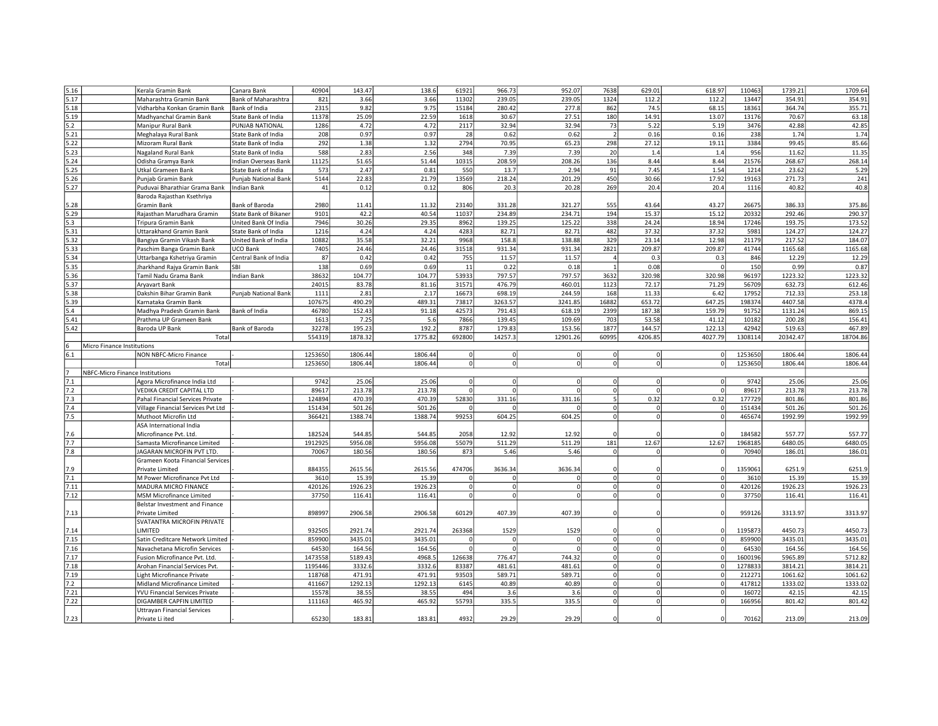| Bank of Maharashtra<br>821<br>3.66<br>3.66<br>11302<br>239.05<br>239.05<br>1324<br>112.2<br>112.2<br>13447<br>354.91<br>354.91<br>Maharashtra Gramin Bank<br>18361<br>355.71<br>Vidharbha Konkan Gramin Bank<br>Bank of India<br>2315<br>9.82<br>9.75<br>15184<br>280.42<br>277.8<br>862<br>74.5<br>68.15<br>364.74<br>22.59<br>11378<br>25.09<br>1618<br>30.67<br>27.51<br>180<br>14.91<br>13.07<br>13176<br>70.67<br>63.18<br>Madhyanchal Gramin Bank<br>State Bank of India<br>5.2<br>42.85<br>1286<br>4.72<br>4.72<br>2117<br>32.94<br>32.94<br>73<br>5.22<br>5.19<br>3476<br>42.88<br>PUNJAB NATIONAL<br>Manipur Rural Bank<br>5.21<br>0.97<br>0.62<br>1.74<br>1.74<br>208<br>0.97<br>28<br>0.62<br>$\overline{2}$<br>0.16<br>0.16<br>238<br>Meghalaya Rural Bank<br>State Bank of India<br>5.22<br>292<br>1.32<br>2794<br>70.95<br>65.23<br>298<br>27.12<br>19.11<br>3384<br>99.45<br>85.66<br>State Bank of India<br>1.38<br>Mizoram Rural Bank<br>5.23<br>588<br>2.83<br>2.56<br>348<br>7.39<br>7.39<br>20<br>1.4<br>956<br>11.35<br>State Bank of India<br>1.4<br>11.62<br>Nagaland Rural Bank<br>11125<br>5.24<br>51.65<br>51.44<br>10315<br>208.59<br>208.26<br>136<br>8.44<br>8.44<br>21576<br>268.67<br>268.14<br>Odisha Gramya Bank<br>Indian Overseas Bank<br>5.29<br>5.25<br>573<br>2.47<br>0.81<br>550<br>13.7<br>2.94<br>91<br>7.45<br>1.54<br>1214<br>23.62<br>Utkal Grameen Bank<br>State Bank of India<br>241<br>5.26<br>5144<br>22.83<br>21.79<br>13569<br>218.24<br>201.29<br>450<br>30.66<br>17.92<br>19163<br>271.73<br>Punjab Gramin Bank<br>Punjab National Bank<br>5.27<br>41<br>269<br>40.8<br>Indian Bank<br>0.12<br>0.12<br>806<br>20.3<br>20.28<br>20.4<br>20.4<br>1116<br>40.82<br>Puduvai Bharathiar Grama Bank<br>Baroda Rajasthan Ksethriya<br>5.28<br>Bank of Baroda<br>2980<br>11.41<br>11.32<br>23140<br>331.28<br>321.27<br>555<br>43.64<br>43.27<br>26675<br>386.33<br>375.86<br>Gramin Bank<br>5.29<br>290.37<br>9101<br>42.2<br>40.54<br>11037<br>234.89<br>234.71<br>194<br>15.37<br>15.12<br>20332<br>292.46<br>Rajasthan Marudhara Gramin<br><b>State Bank of Bikaner</b><br>173.52<br>5.3<br>United Bank Of India<br>7946<br>30.26<br>29.35<br>8962<br>139.25<br>125.22<br>338<br>24.24<br>18.94<br>17246<br>193.75<br>Tripura Gramin Bank<br>5.31<br>1216<br>4283<br>82.71<br>37.32<br>37.32<br>124.27<br>124.27<br>State Bank of India<br>4.24<br>4.24<br>82.71<br>482<br>5981<br>Uttarakhand Gramin Bank<br>5.32<br>10882<br>35.58<br>32.21<br>9968<br>158.8<br>138.88<br>329<br>23.14<br>12.98<br>21179<br>217.52<br>184.07<br>United Bank of India<br>Bangiya Gramin Vikash Bank<br>1165.68<br>5.33<br>7405<br>24.46<br>24.46<br>31518<br>931.34<br>931.34<br>2821<br>209.87<br>209.87<br>41744<br>1165.68<br>Paschim Banga Gramin Bank<br>UCO Bank<br>5.34<br>11.57<br>11.57<br>12.29<br>Central Bank of India<br>87<br>0.42<br>0.42<br>755<br>0.3<br>0.3<br>846<br>12.29<br>Uttarbanga Kshetriya Gramin<br>$\overline{4}$<br>138<br>150<br>0.87<br>5.35<br>SBI<br>0.69<br>0.69<br>11<br>0.22<br>0.18<br>$\mathbf{1}$<br>0.08<br>0<br>0.99<br>Jharkhand Rajya Gramin Bank<br>38632<br>53933<br>797.57<br>797.57<br>96197<br>1223.32<br>Tamil Nadu Grama Bank<br><b>Indian Bank</b><br>104.77<br>104.77<br>3632<br>320.98<br>320.98<br>1223.32<br>24015<br>476.79<br>460.01<br>56709<br>612.46<br><b>Arvavart Bank</b><br>83.78<br>81.16<br>31571<br>1123<br>72.17<br>71.29<br>632.73<br>2.81<br>244.59<br>17952<br>712.33<br>253.18<br>1111<br>2.17<br>16673<br>698.19<br>168<br>11.33<br>6.42<br>Dakshin Bihar Gramin Bank<br><b>Punjab National Bank</b><br>647.25<br>198374<br>4407.58<br>4378.4<br>107675<br>490.29<br>489.31<br>73817<br>3263.57<br>3241.85<br>16882<br>653.72<br>Karnataka Gramin Bank<br>159.79<br>91752<br>869.15<br>46780<br>152.43<br>91.18<br>42573<br>791.43<br>618.19<br>2399<br>187.38<br>1131.24<br>Madhya Pradesh Gramin Bank<br>Bank of India<br>7866<br>139.45<br>53.58<br>41.12<br>10182<br>156.41<br>1613<br>7.25<br>5.6<br>109.69<br>703<br>200.28<br>Prathma UP Grameen Bank<br>32278<br>195.23<br>192.2<br>8787<br>179.83<br>153.56<br>1877<br>144.57<br>122.13<br>42942<br>519.63<br>467.89<br>Baroda UP Bank<br>Bank of Baroda<br>1308114<br>18704.86<br>554319<br>1878.32<br>1775.82<br>692800<br>14257.3<br>12901.26<br>60995<br>4206.85<br>4027.79<br>20342.47<br>Total<br>Micro Finance Institutions<br>6.1<br>1253650<br>1253650<br>1806.44<br><b>NON NBFC-Micro Finance</b><br>1806.44<br>1806.44<br> 0 <br> 0 <br>$\circ$<br>$\overline{0}$<br>1806.44<br>$\Omega$<br>$\mathbf 0$<br>1253650<br>1806.44<br>1806.44<br>$\Omega$<br>$\Omega$<br>$\circ$<br><sup>0</sup><br>$\circ$<br>1253650<br>1806.44<br>1806.44<br>Total<br>$\Omega$<br>NBFC-Micro Finance Institutions<br>7.1<br>9742<br>25.06<br>25.06<br>9742<br>25.06<br>25.06<br>Agora Microfinance India Ltd<br>$\Omega$<br>$\mathbf 0$<br>$\Omega$<br>$\mathbf 0$<br>$\Omega$<br>$\Omega$<br>7.2<br>89617<br>213.78<br>213.78<br>$\Omega$<br>$\Omega$<br>89617<br>213.78<br>$\mathbf 0$<br>213.78<br>VEDIKA CREDIT CAPITAL LTD<br>$\Omega$<br>7.3<br>124894<br>470.39<br>470.39<br>52830<br>331.16<br>331.16<br>0.32<br>0.32<br>177729<br>801.86<br>5<br>801.86<br>Pahal Financial Services Private<br>7.4<br>151434<br>501.26<br>$\Omega$<br>151434<br>501.26<br>501.26<br>501.26<br>$\Omega$<br>Village Financial Services Pvt Ltd<br>7.5<br>604.25<br>1992.99<br>366421<br>1388.74<br>1388.74<br>99253<br>604.25<br>465674<br>1992.99<br>Muthoot Microfin Ltd<br>$\Omega$<br>$\Omega$<br>ASA International India<br>182524<br>544.85<br>544.85<br>2058<br>12.92<br>12.92<br>184582<br>557.77<br>557.77<br>7.6<br>Microfinance Pvt. Ltd.<br>7.7<br>1912925<br>5956.08<br>5956.08<br>511.29<br>511.29<br>181<br>12.67<br>12.67<br>1968185<br>6480.05<br>6480.05<br>Samasta Microfinance Limited<br>55079<br>7.8<br>70067<br>180.56<br>180.56<br>5.46<br>5.46<br>70940<br>186.01<br>186.01<br>JAGARAN MICROFIN PVT LTD.<br>873<br>$\Omega$<br>$\Omega$<br>Grameen Koota Financial Services<br>884355<br>2615.56<br>1359061<br>6251.9<br>6251.9<br>7.9<br>Private Limited<br>2615.56<br>474706<br>3636.34<br>3636.34<br>7.1<br>15.39<br>15.39<br>3610<br>$\Omega$<br>$\Omega$<br>3610<br>15.39<br>15.39<br>M Power Microfinance Pvt Ltd<br>$\Omega$<br>$\Omega$<br>$\Omega$<br>7.11<br>420126<br>1926.23<br>1926.23<br>$\Omega$<br>$\Omega$<br>$\Omega$<br>420126<br>1926.23<br>1926.23<br>MADURA MICRO FINANCE<br>$\Omega$<br>$\Omega$<br>$\Omega$<br>7.12<br>37750<br>116.41<br>37750<br>116.41<br>116.41<br>116.41<br>$\Omega$<br>$\Omega$<br>$\Omega$<br>$\Omega$<br><b>MSM Microfinance Limited</b><br>$\Omega$<br>Belstar Investment and Finance<br>898997<br>2906.58<br>2906.58<br>60129<br>407.39<br>407.39<br>959126<br>3313.97<br>3313.97<br>Private Limited<br>SVATANTRA MICROFIN PRIVATE<br>LIMITED<br>932505<br>2921.74<br>2921.74<br>263368<br>1529<br>1529<br>1195873<br>4450.73<br>4450.73<br>$\Omega$<br>$\Omega$<br>859900<br>3435.01<br>3435.01<br>859900<br>3435.01<br>3435.01<br>Satin Creditcare Network Limited<br>$\mathbf 0$<br> 0 <br>$\Omega$<br>$\Omega$<br>$\Omega$<br>$\Omega$<br>$\mathbf 0$<br>164.56<br>64530<br>164.56<br>164.56<br>$\mathbf 0$<br>$\Omega$<br>64530<br>164.56<br>Navachetana Microfin Services<br>$\Omega$<br>1473558<br>744.32<br>5712.82<br>5189.43<br>4968.5<br>126638<br>776.47<br>$\mathbf 0$<br> 0 <br>1600196<br>5965.89<br>Fusion Microfinance Pvt. Ltd.<br>$\Omega$<br>$\Omega$<br>3332.6<br>3332.6<br>481.61<br>481.61<br>$\Omega$<br>1278833<br>3814.21<br>3814.21<br>1195446<br>83387<br>$\Omega$<br>Arohan Financial Services Pvt.<br>118768<br>471.91<br>471.91<br>589.71<br>589.71<br>212271<br>1061.62<br>93503<br>$\Omega$<br>$\Omega$<br>1061.62<br>Light Microfinance Private<br>$\Omega$<br>7.2<br>411667<br>1292.13<br>1292.13<br>6145<br>40.89<br>40.89<br>$\mathbf 0$<br>$\mathbf 0$<br>$\Omega$<br>417812<br>1333.02<br>1333.02<br>Midland Microfinance Limited<br>15578<br>38.55<br>38.55<br>494<br>3.6<br>3.6<br>$\mathbf 0$<br>$\mathbf 0$<br>$\Omega$<br>16072<br>42.15<br>42.15<br>YVU Financial Services Private<br>55793<br>335.5<br>335.5<br>166956<br>801.42<br>DIGAMBER CAPFIN LIMITED<br>111163<br>465.92<br>465.92<br>$\mathbf 0$<br>$\mathbf 0$<br>$\Omega$<br>801.42<br><b>Uttrayan Financial Services</b><br>7.23<br>213.09<br>Private Li ited<br>65230<br>183.81<br>183.81<br>4932<br>29.29<br>29.29<br>70162<br>213.09 | 5.16 | Kerala Gramin Bank | Canara Bank | 40904 | 143.47 | 138.6 | 61921 | 966.73 | 952.07 | 7638 | 629.01 | 618.97 | 110463 | 1739.21 | 1709.64 |
|---------------------------------------------------------------------------------------------------------------------------------------------------------------------------------------------------------------------------------------------------------------------------------------------------------------------------------------------------------------------------------------------------------------------------------------------------------------------------------------------------------------------------------------------------------------------------------------------------------------------------------------------------------------------------------------------------------------------------------------------------------------------------------------------------------------------------------------------------------------------------------------------------------------------------------------------------------------------------------------------------------------------------------------------------------------------------------------------------------------------------------------------------------------------------------------------------------------------------------------------------------------------------------------------------------------------------------------------------------------------------------------------------------------------------------------------------------------------------------------------------------------------------------------------------------------------------------------------------------------------------------------------------------------------------------------------------------------------------------------------------------------------------------------------------------------------------------------------------------------------------------------------------------------------------------------------------------------------------------------------------------------------------------------------------------------------------------------------------------------------------------------------------------------------------------------------------------------------------------------------------------------------------------------------------------------------------------------------------------------------------------------------------------------------------------------------------------------------------------------------------------------------------------------------------------------------------------------------------------------------------------------------------------------------------------------------------------------------------------------------------------------------------------------------------------------------------------------------------------------------------------------------------------------------------------------------------------------------------------------------------------------------------------------------------------------------------------------------------------------------------------------------------------------------------------------------------------------------------------------------------------------------------------------------------------------------------------------------------------------------------------------------------------------------------------------------------------------------------------------------------------------------------------------------------------------------------------------------------------------------------------------------------------------------------------------------------------------------------------------------------------------------------------------------------------------------------------------------------------------------------------------------------------------------------------------------------------------------------------------------------------------------------------------------------------------------------------------------------------------------------------------------------------------------------------------------------------------------------------------------------------------------------------------------------------------------------------------------------------------------------------------------------------------------------------------------------------------------------------------------------------------------------------------------------------------------------------------------------------------------------------------------------------------------------------------------------------------------------------------------------------------------------------------------------------------------------------------------------------------------------------------------------------------------------------------------------------------------------------------------------------------------------------------------------------------------------------------------------------------------------------------------------------------------------------------------------------------------------------------------------------------------------------------------------------------------------------------------------------------------------------------------------------------------------------------------------------------------------------------------------------------------------------------------------------------------------------------------------------------------------------------------------------------------------------------------------------------------------------------------------------------------------------------------------------------------------------------------------------------------------------------------------------------------------------------------------------------------------------------------------------------------------------------------------------------------------------------------------------------------------------------------------------------------------------------------------------------------------------------------------------------------------------------------------------------------------------------------------------------------------------------------------------------------------------------------------------------------------------------------------------------------------------------------------------------------------------------------------------------------------------------------------------------------------------------------------------------------------------------------------------------------------------------------------------------------------------------------------------------------------------------------------------------------------------------------------------------------------------------------------------------------------------------------------------------------------------------------------------------------------------------------------------------------------------------------------------------------------------------------------------------------------------------------------------------------------------------------------------------------------------------------------------------------------------------------------------------------------------------------------------------------------------------------------------------------------------------------------------------------------------------------------------------------------------------------------------------------------------------------------------------------------------------------------------------------------------------------------------------------------------------------------------------------------------------------------------------------------------------------------------------------------------------------------------------------------------------------------------------------------------------------------------------------------------------------------------------------------------------------------------------------------------------------------------------------------------------------------------------------------------------------------------------------------------------------------------------------------------|------|--------------------|-------------|-------|--------|-------|-------|--------|--------|------|--------|--------|--------|---------|---------|
|                                                                                                                                                                                                                                                                                                                                                                                                                                                                                                                                                                                                                                                                                                                                                                                                                                                                                                                                                                                                                                                                                                                                                                                                                                                                                                                                                                                                                                                                                                                                                                                                                                                                                                                                                                                                                                                                                                                                                                                                                                                                                                                                                                                                                                                                                                                                                                                                                                                                                                                                                                                                                                                                                                                                                                                                                                                                                                                                                                                                                                                                                                                                                                                                                                                                                                                                                                                                                                                                                                                                                                                                                                                                                                                                                                                                                                                                                                                                                                                                                                                                                                                                                                                                                                                                                                                                                                                                                                                                                                                                                                                                                                                                                                                                                                                                                                                                                                                                                                                                                                                                                                                                                                                                                                                                                                                                                                                                                                                                                                                                                                                                                                                                                                                                                                                                                                                                                                                                                                                                                                                                                                                                                                                                                                                                                                                                                                                                                                                                                                                                                                                                                                                                                                                                                                                                                                                                                                                                                                                                                                                                                                                                                                                                                                                                                                                                                                                                                                                                                                                                                                                                                                                                                                                                                                                                                                                                                                                                                                                                                                                                                                                                                                                                                                                                                                                                                                                                                                                                                 | 5.17 |                    |             |       |        |       |       |        |        |      |        |        |        |         |         |
|                                                                                                                                                                                                                                                                                                                                                                                                                                                                                                                                                                                                                                                                                                                                                                                                                                                                                                                                                                                                                                                                                                                                                                                                                                                                                                                                                                                                                                                                                                                                                                                                                                                                                                                                                                                                                                                                                                                                                                                                                                                                                                                                                                                                                                                                                                                                                                                                                                                                                                                                                                                                                                                                                                                                                                                                                                                                                                                                                                                                                                                                                                                                                                                                                                                                                                                                                                                                                                                                                                                                                                                                                                                                                                                                                                                                                                                                                                                                                                                                                                                                                                                                                                                                                                                                                                                                                                                                                                                                                                                                                                                                                                                                                                                                                                                                                                                                                                                                                                                                                                                                                                                                                                                                                                                                                                                                                                                                                                                                                                                                                                                                                                                                                                                                                                                                                                                                                                                                                                                                                                                                                                                                                                                                                                                                                                                                                                                                                                                                                                                                                                                                                                                                                                                                                                                                                                                                                                                                                                                                                                                                                                                                                                                                                                                                                                                                                                                                                                                                                                                                                                                                                                                                                                                                                                                                                                                                                                                                                                                                                                                                                                                                                                                                                                                                                                                                                                                                                                                                                 | 5.18 |                    |             |       |        |       |       |        |        |      |        |        |        |         |         |
|                                                                                                                                                                                                                                                                                                                                                                                                                                                                                                                                                                                                                                                                                                                                                                                                                                                                                                                                                                                                                                                                                                                                                                                                                                                                                                                                                                                                                                                                                                                                                                                                                                                                                                                                                                                                                                                                                                                                                                                                                                                                                                                                                                                                                                                                                                                                                                                                                                                                                                                                                                                                                                                                                                                                                                                                                                                                                                                                                                                                                                                                                                                                                                                                                                                                                                                                                                                                                                                                                                                                                                                                                                                                                                                                                                                                                                                                                                                                                                                                                                                                                                                                                                                                                                                                                                                                                                                                                                                                                                                                                                                                                                                                                                                                                                                                                                                                                                                                                                                                                                                                                                                                                                                                                                                                                                                                                                                                                                                                                                                                                                                                                                                                                                                                                                                                                                                                                                                                                                                                                                                                                                                                                                                                                                                                                                                                                                                                                                                                                                                                                                                                                                                                                                                                                                                                                                                                                                                                                                                                                                                                                                                                                                                                                                                                                                                                                                                                                                                                                                                                                                                                                                                                                                                                                                                                                                                                                                                                                                                                                                                                                                                                                                                                                                                                                                                                                                                                                                                                                 | 5.19 |                    |             |       |        |       |       |        |        |      |        |        |        |         |         |
|                                                                                                                                                                                                                                                                                                                                                                                                                                                                                                                                                                                                                                                                                                                                                                                                                                                                                                                                                                                                                                                                                                                                                                                                                                                                                                                                                                                                                                                                                                                                                                                                                                                                                                                                                                                                                                                                                                                                                                                                                                                                                                                                                                                                                                                                                                                                                                                                                                                                                                                                                                                                                                                                                                                                                                                                                                                                                                                                                                                                                                                                                                                                                                                                                                                                                                                                                                                                                                                                                                                                                                                                                                                                                                                                                                                                                                                                                                                                                                                                                                                                                                                                                                                                                                                                                                                                                                                                                                                                                                                                                                                                                                                                                                                                                                                                                                                                                                                                                                                                                                                                                                                                                                                                                                                                                                                                                                                                                                                                                                                                                                                                                                                                                                                                                                                                                                                                                                                                                                                                                                                                                                                                                                                                                                                                                                                                                                                                                                                                                                                                                                                                                                                                                                                                                                                                                                                                                                                                                                                                                                                                                                                                                                                                                                                                                                                                                                                                                                                                                                                                                                                                                                                                                                                                                                                                                                                                                                                                                                                                                                                                                                                                                                                                                                                                                                                                                                                                                                                                                 |      |                    |             |       |        |       |       |        |        |      |        |        |        |         |         |
|                                                                                                                                                                                                                                                                                                                                                                                                                                                                                                                                                                                                                                                                                                                                                                                                                                                                                                                                                                                                                                                                                                                                                                                                                                                                                                                                                                                                                                                                                                                                                                                                                                                                                                                                                                                                                                                                                                                                                                                                                                                                                                                                                                                                                                                                                                                                                                                                                                                                                                                                                                                                                                                                                                                                                                                                                                                                                                                                                                                                                                                                                                                                                                                                                                                                                                                                                                                                                                                                                                                                                                                                                                                                                                                                                                                                                                                                                                                                                                                                                                                                                                                                                                                                                                                                                                                                                                                                                                                                                                                                                                                                                                                                                                                                                                                                                                                                                                                                                                                                                                                                                                                                                                                                                                                                                                                                                                                                                                                                                                                                                                                                                                                                                                                                                                                                                                                                                                                                                                                                                                                                                                                                                                                                                                                                                                                                                                                                                                                                                                                                                                                                                                                                                                                                                                                                                                                                                                                                                                                                                                                                                                                                                                                                                                                                                                                                                                                                                                                                                                                                                                                                                                                                                                                                                                                                                                                                                                                                                                                                                                                                                                                                                                                                                                                                                                                                                                                                                                                                                 |      |                    |             |       |        |       |       |        |        |      |        |        |        |         |         |
|                                                                                                                                                                                                                                                                                                                                                                                                                                                                                                                                                                                                                                                                                                                                                                                                                                                                                                                                                                                                                                                                                                                                                                                                                                                                                                                                                                                                                                                                                                                                                                                                                                                                                                                                                                                                                                                                                                                                                                                                                                                                                                                                                                                                                                                                                                                                                                                                                                                                                                                                                                                                                                                                                                                                                                                                                                                                                                                                                                                                                                                                                                                                                                                                                                                                                                                                                                                                                                                                                                                                                                                                                                                                                                                                                                                                                                                                                                                                                                                                                                                                                                                                                                                                                                                                                                                                                                                                                                                                                                                                                                                                                                                                                                                                                                                                                                                                                                                                                                                                                                                                                                                                                                                                                                                                                                                                                                                                                                                                                                                                                                                                                                                                                                                                                                                                                                                                                                                                                                                                                                                                                                                                                                                                                                                                                                                                                                                                                                                                                                                                                                                                                                                                                                                                                                                                                                                                                                                                                                                                                                                                                                                                                                                                                                                                                                                                                                                                                                                                                                                                                                                                                                                                                                                                                                                                                                                                                                                                                                                                                                                                                                                                                                                                                                                                                                                                                                                                                                                                                 |      |                    |             |       |        |       |       |        |        |      |        |        |        |         |         |
|                                                                                                                                                                                                                                                                                                                                                                                                                                                                                                                                                                                                                                                                                                                                                                                                                                                                                                                                                                                                                                                                                                                                                                                                                                                                                                                                                                                                                                                                                                                                                                                                                                                                                                                                                                                                                                                                                                                                                                                                                                                                                                                                                                                                                                                                                                                                                                                                                                                                                                                                                                                                                                                                                                                                                                                                                                                                                                                                                                                                                                                                                                                                                                                                                                                                                                                                                                                                                                                                                                                                                                                                                                                                                                                                                                                                                                                                                                                                                                                                                                                                                                                                                                                                                                                                                                                                                                                                                                                                                                                                                                                                                                                                                                                                                                                                                                                                                                                                                                                                                                                                                                                                                                                                                                                                                                                                                                                                                                                                                                                                                                                                                                                                                                                                                                                                                                                                                                                                                                                                                                                                                                                                                                                                                                                                                                                                                                                                                                                                                                                                                                                                                                                                                                                                                                                                                                                                                                                                                                                                                                                                                                                                                                                                                                                                                                                                                                                                                                                                                                                                                                                                                                                                                                                                                                                                                                                                                                                                                                                                                                                                                                                                                                                                                                                                                                                                                                                                                                                                                 |      |                    |             |       |        |       |       |        |        |      |        |        |        |         |         |
|                                                                                                                                                                                                                                                                                                                                                                                                                                                                                                                                                                                                                                                                                                                                                                                                                                                                                                                                                                                                                                                                                                                                                                                                                                                                                                                                                                                                                                                                                                                                                                                                                                                                                                                                                                                                                                                                                                                                                                                                                                                                                                                                                                                                                                                                                                                                                                                                                                                                                                                                                                                                                                                                                                                                                                                                                                                                                                                                                                                                                                                                                                                                                                                                                                                                                                                                                                                                                                                                                                                                                                                                                                                                                                                                                                                                                                                                                                                                                                                                                                                                                                                                                                                                                                                                                                                                                                                                                                                                                                                                                                                                                                                                                                                                                                                                                                                                                                                                                                                                                                                                                                                                                                                                                                                                                                                                                                                                                                                                                                                                                                                                                                                                                                                                                                                                                                                                                                                                                                                                                                                                                                                                                                                                                                                                                                                                                                                                                                                                                                                                                                                                                                                                                                                                                                                                                                                                                                                                                                                                                                                                                                                                                                                                                                                                                                                                                                                                                                                                                                                                                                                                                                                                                                                                                                                                                                                                                                                                                                                                                                                                                                                                                                                                                                                                                                                                                                                                                                                                                 |      |                    |             |       |        |       |       |        |        |      |        |        |        |         |         |
|                                                                                                                                                                                                                                                                                                                                                                                                                                                                                                                                                                                                                                                                                                                                                                                                                                                                                                                                                                                                                                                                                                                                                                                                                                                                                                                                                                                                                                                                                                                                                                                                                                                                                                                                                                                                                                                                                                                                                                                                                                                                                                                                                                                                                                                                                                                                                                                                                                                                                                                                                                                                                                                                                                                                                                                                                                                                                                                                                                                                                                                                                                                                                                                                                                                                                                                                                                                                                                                                                                                                                                                                                                                                                                                                                                                                                                                                                                                                                                                                                                                                                                                                                                                                                                                                                                                                                                                                                                                                                                                                                                                                                                                                                                                                                                                                                                                                                                                                                                                                                                                                                                                                                                                                                                                                                                                                                                                                                                                                                                                                                                                                                                                                                                                                                                                                                                                                                                                                                                                                                                                                                                                                                                                                                                                                                                                                                                                                                                                                                                                                                                                                                                                                                                                                                                                                                                                                                                                                                                                                                                                                                                                                                                                                                                                                                                                                                                                                                                                                                                                                                                                                                                                                                                                                                                                                                                                                                                                                                                                                                                                                                                                                                                                                                                                                                                                                                                                                                                                                                 |      |                    |             |       |        |       |       |        |        |      |        |        |        |         |         |
|                                                                                                                                                                                                                                                                                                                                                                                                                                                                                                                                                                                                                                                                                                                                                                                                                                                                                                                                                                                                                                                                                                                                                                                                                                                                                                                                                                                                                                                                                                                                                                                                                                                                                                                                                                                                                                                                                                                                                                                                                                                                                                                                                                                                                                                                                                                                                                                                                                                                                                                                                                                                                                                                                                                                                                                                                                                                                                                                                                                                                                                                                                                                                                                                                                                                                                                                                                                                                                                                                                                                                                                                                                                                                                                                                                                                                                                                                                                                                                                                                                                                                                                                                                                                                                                                                                                                                                                                                                                                                                                                                                                                                                                                                                                                                                                                                                                                                                                                                                                                                                                                                                                                                                                                                                                                                                                                                                                                                                                                                                                                                                                                                                                                                                                                                                                                                                                                                                                                                                                                                                                                                                                                                                                                                                                                                                                                                                                                                                                                                                                                                                                                                                                                                                                                                                                                                                                                                                                                                                                                                                                                                                                                                                                                                                                                                                                                                                                                                                                                                                                                                                                                                                                                                                                                                                                                                                                                                                                                                                                                                                                                                                                                                                                                                                                                                                                                                                                                                                                                                 |      |                    |             |       |        |       |       |        |        |      |        |        |        |         |         |
|                                                                                                                                                                                                                                                                                                                                                                                                                                                                                                                                                                                                                                                                                                                                                                                                                                                                                                                                                                                                                                                                                                                                                                                                                                                                                                                                                                                                                                                                                                                                                                                                                                                                                                                                                                                                                                                                                                                                                                                                                                                                                                                                                                                                                                                                                                                                                                                                                                                                                                                                                                                                                                                                                                                                                                                                                                                                                                                                                                                                                                                                                                                                                                                                                                                                                                                                                                                                                                                                                                                                                                                                                                                                                                                                                                                                                                                                                                                                                                                                                                                                                                                                                                                                                                                                                                                                                                                                                                                                                                                                                                                                                                                                                                                                                                                                                                                                                                                                                                                                                                                                                                                                                                                                                                                                                                                                                                                                                                                                                                                                                                                                                                                                                                                                                                                                                                                                                                                                                                                                                                                                                                                                                                                                                                                                                                                                                                                                                                                                                                                                                                                                                                                                                                                                                                                                                                                                                                                                                                                                                                                                                                                                                                                                                                                                                                                                                                                                                                                                                                                                                                                                                                                                                                                                                                                                                                                                                                                                                                                                                                                                                                                                                                                                                                                                                                                                                                                                                                                                                 |      |                    |             |       |        |       |       |        |        |      |        |        |        |         |         |
|                                                                                                                                                                                                                                                                                                                                                                                                                                                                                                                                                                                                                                                                                                                                                                                                                                                                                                                                                                                                                                                                                                                                                                                                                                                                                                                                                                                                                                                                                                                                                                                                                                                                                                                                                                                                                                                                                                                                                                                                                                                                                                                                                                                                                                                                                                                                                                                                                                                                                                                                                                                                                                                                                                                                                                                                                                                                                                                                                                                                                                                                                                                                                                                                                                                                                                                                                                                                                                                                                                                                                                                                                                                                                                                                                                                                                                                                                                                                                                                                                                                                                                                                                                                                                                                                                                                                                                                                                                                                                                                                                                                                                                                                                                                                                                                                                                                                                                                                                                                                                                                                                                                                                                                                                                                                                                                                                                                                                                                                                                                                                                                                                                                                                                                                                                                                                                                                                                                                                                                                                                                                                                                                                                                                                                                                                                                                                                                                                                                                                                                                                                                                                                                                                                                                                                                                                                                                                                                                                                                                                                                                                                                                                                                                                                                                                                                                                                                                                                                                                                                                                                                                                                                                                                                                                                                                                                                                                                                                                                                                                                                                                                                                                                                                                                                                                                                                                                                                                                                                                 |      |                    |             |       |        |       |       |        |        |      |        |        |        |         |         |
|                                                                                                                                                                                                                                                                                                                                                                                                                                                                                                                                                                                                                                                                                                                                                                                                                                                                                                                                                                                                                                                                                                                                                                                                                                                                                                                                                                                                                                                                                                                                                                                                                                                                                                                                                                                                                                                                                                                                                                                                                                                                                                                                                                                                                                                                                                                                                                                                                                                                                                                                                                                                                                                                                                                                                                                                                                                                                                                                                                                                                                                                                                                                                                                                                                                                                                                                                                                                                                                                                                                                                                                                                                                                                                                                                                                                                                                                                                                                                                                                                                                                                                                                                                                                                                                                                                                                                                                                                                                                                                                                                                                                                                                                                                                                                                                                                                                                                                                                                                                                                                                                                                                                                                                                                                                                                                                                                                                                                                                                                                                                                                                                                                                                                                                                                                                                                                                                                                                                                                                                                                                                                                                                                                                                                                                                                                                                                                                                                                                                                                                                                                                                                                                                                                                                                                                                                                                                                                                                                                                                                                                                                                                                                                                                                                                                                                                                                                                                                                                                                                                                                                                                                                                                                                                                                                                                                                                                                                                                                                                                                                                                                                                                                                                                                                                                                                                                                                                                                                                                                 |      |                    |             |       |        |       |       |        |        |      |        |        |        |         |         |
|                                                                                                                                                                                                                                                                                                                                                                                                                                                                                                                                                                                                                                                                                                                                                                                                                                                                                                                                                                                                                                                                                                                                                                                                                                                                                                                                                                                                                                                                                                                                                                                                                                                                                                                                                                                                                                                                                                                                                                                                                                                                                                                                                                                                                                                                                                                                                                                                                                                                                                                                                                                                                                                                                                                                                                                                                                                                                                                                                                                                                                                                                                                                                                                                                                                                                                                                                                                                                                                                                                                                                                                                                                                                                                                                                                                                                                                                                                                                                                                                                                                                                                                                                                                                                                                                                                                                                                                                                                                                                                                                                                                                                                                                                                                                                                                                                                                                                                                                                                                                                                                                                                                                                                                                                                                                                                                                                                                                                                                                                                                                                                                                                                                                                                                                                                                                                                                                                                                                                                                                                                                                                                                                                                                                                                                                                                                                                                                                                                                                                                                                                                                                                                                                                                                                                                                                                                                                                                                                                                                                                                                                                                                                                                                                                                                                                                                                                                                                                                                                                                                                                                                                                                                                                                                                                                                                                                                                                                                                                                                                                                                                                                                                                                                                                                                                                                                                                                                                                                                                                 |      |                    |             |       |        |       |       |        |        |      |        |        |        |         |         |
|                                                                                                                                                                                                                                                                                                                                                                                                                                                                                                                                                                                                                                                                                                                                                                                                                                                                                                                                                                                                                                                                                                                                                                                                                                                                                                                                                                                                                                                                                                                                                                                                                                                                                                                                                                                                                                                                                                                                                                                                                                                                                                                                                                                                                                                                                                                                                                                                                                                                                                                                                                                                                                                                                                                                                                                                                                                                                                                                                                                                                                                                                                                                                                                                                                                                                                                                                                                                                                                                                                                                                                                                                                                                                                                                                                                                                                                                                                                                                                                                                                                                                                                                                                                                                                                                                                                                                                                                                                                                                                                                                                                                                                                                                                                                                                                                                                                                                                                                                                                                                                                                                                                                                                                                                                                                                                                                                                                                                                                                                                                                                                                                                                                                                                                                                                                                                                                                                                                                                                                                                                                                                                                                                                                                                                                                                                                                                                                                                                                                                                                                                                                                                                                                                                                                                                                                                                                                                                                                                                                                                                                                                                                                                                                                                                                                                                                                                                                                                                                                                                                                                                                                                                                                                                                                                                                                                                                                                                                                                                                                                                                                                                                                                                                                                                                                                                                                                                                                                                                                                 |      |                    |             |       |        |       |       |        |        |      |        |        |        |         |         |
|                                                                                                                                                                                                                                                                                                                                                                                                                                                                                                                                                                                                                                                                                                                                                                                                                                                                                                                                                                                                                                                                                                                                                                                                                                                                                                                                                                                                                                                                                                                                                                                                                                                                                                                                                                                                                                                                                                                                                                                                                                                                                                                                                                                                                                                                                                                                                                                                                                                                                                                                                                                                                                                                                                                                                                                                                                                                                                                                                                                                                                                                                                                                                                                                                                                                                                                                                                                                                                                                                                                                                                                                                                                                                                                                                                                                                                                                                                                                                                                                                                                                                                                                                                                                                                                                                                                                                                                                                                                                                                                                                                                                                                                                                                                                                                                                                                                                                                                                                                                                                                                                                                                                                                                                                                                                                                                                                                                                                                                                                                                                                                                                                                                                                                                                                                                                                                                                                                                                                                                                                                                                                                                                                                                                                                                                                                                                                                                                                                                                                                                                                                                                                                                                                                                                                                                                                                                                                                                                                                                                                                                                                                                                                                                                                                                                                                                                                                                                                                                                                                                                                                                                                                                                                                                                                                                                                                                                                                                                                                                                                                                                                                                                                                                                                                                                                                                                                                                                                                                                                 |      |                    |             |       |        |       |       |        |        |      |        |        |        |         |         |
|                                                                                                                                                                                                                                                                                                                                                                                                                                                                                                                                                                                                                                                                                                                                                                                                                                                                                                                                                                                                                                                                                                                                                                                                                                                                                                                                                                                                                                                                                                                                                                                                                                                                                                                                                                                                                                                                                                                                                                                                                                                                                                                                                                                                                                                                                                                                                                                                                                                                                                                                                                                                                                                                                                                                                                                                                                                                                                                                                                                                                                                                                                                                                                                                                                                                                                                                                                                                                                                                                                                                                                                                                                                                                                                                                                                                                                                                                                                                                                                                                                                                                                                                                                                                                                                                                                                                                                                                                                                                                                                                                                                                                                                                                                                                                                                                                                                                                                                                                                                                                                                                                                                                                                                                                                                                                                                                                                                                                                                                                                                                                                                                                                                                                                                                                                                                                                                                                                                                                                                                                                                                                                                                                                                                                                                                                                                                                                                                                                                                                                                                                                                                                                                                                                                                                                                                                                                                                                                                                                                                                                                                                                                                                                                                                                                                                                                                                                                                                                                                                                                                                                                                                                                                                                                                                                                                                                                                                                                                                                                                                                                                                                                                                                                                                                                                                                                                                                                                                                                                                 |      |                    |             |       |        |       |       |        |        |      |        |        |        |         |         |
|                                                                                                                                                                                                                                                                                                                                                                                                                                                                                                                                                                                                                                                                                                                                                                                                                                                                                                                                                                                                                                                                                                                                                                                                                                                                                                                                                                                                                                                                                                                                                                                                                                                                                                                                                                                                                                                                                                                                                                                                                                                                                                                                                                                                                                                                                                                                                                                                                                                                                                                                                                                                                                                                                                                                                                                                                                                                                                                                                                                                                                                                                                                                                                                                                                                                                                                                                                                                                                                                                                                                                                                                                                                                                                                                                                                                                                                                                                                                                                                                                                                                                                                                                                                                                                                                                                                                                                                                                                                                                                                                                                                                                                                                                                                                                                                                                                                                                                                                                                                                                                                                                                                                                                                                                                                                                                                                                                                                                                                                                                                                                                                                                                                                                                                                                                                                                                                                                                                                                                                                                                                                                                                                                                                                                                                                                                                                                                                                                                                                                                                                                                                                                                                                                                                                                                                                                                                                                                                                                                                                                                                                                                                                                                                                                                                                                                                                                                                                                                                                                                                                                                                                                                                                                                                                                                                                                                                                                                                                                                                                                                                                                                                                                                                                                                                                                                                                                                                                                                                                                 |      |                    |             |       |        |       |       |        |        |      |        |        |        |         |         |
|                                                                                                                                                                                                                                                                                                                                                                                                                                                                                                                                                                                                                                                                                                                                                                                                                                                                                                                                                                                                                                                                                                                                                                                                                                                                                                                                                                                                                                                                                                                                                                                                                                                                                                                                                                                                                                                                                                                                                                                                                                                                                                                                                                                                                                                                                                                                                                                                                                                                                                                                                                                                                                                                                                                                                                                                                                                                                                                                                                                                                                                                                                                                                                                                                                                                                                                                                                                                                                                                                                                                                                                                                                                                                                                                                                                                                                                                                                                                                                                                                                                                                                                                                                                                                                                                                                                                                                                                                                                                                                                                                                                                                                                                                                                                                                                                                                                                                                                                                                                                                                                                                                                                                                                                                                                                                                                                                                                                                                                                                                                                                                                                                                                                                                                                                                                                                                                                                                                                                                                                                                                                                                                                                                                                                                                                                                                                                                                                                                                                                                                                                                                                                                                                                                                                                                                                                                                                                                                                                                                                                                                                                                                                                                                                                                                                                                                                                                                                                                                                                                                                                                                                                                                                                                                                                                                                                                                                                                                                                                                                                                                                                                                                                                                                                                                                                                                                                                                                                                                                                 |      |                    |             |       |        |       |       |        |        |      |        |        |        |         |         |
|                                                                                                                                                                                                                                                                                                                                                                                                                                                                                                                                                                                                                                                                                                                                                                                                                                                                                                                                                                                                                                                                                                                                                                                                                                                                                                                                                                                                                                                                                                                                                                                                                                                                                                                                                                                                                                                                                                                                                                                                                                                                                                                                                                                                                                                                                                                                                                                                                                                                                                                                                                                                                                                                                                                                                                                                                                                                                                                                                                                                                                                                                                                                                                                                                                                                                                                                                                                                                                                                                                                                                                                                                                                                                                                                                                                                                                                                                                                                                                                                                                                                                                                                                                                                                                                                                                                                                                                                                                                                                                                                                                                                                                                                                                                                                                                                                                                                                                                                                                                                                                                                                                                                                                                                                                                                                                                                                                                                                                                                                                                                                                                                                                                                                                                                                                                                                                                                                                                                                                                                                                                                                                                                                                                                                                                                                                                                                                                                                                                                                                                                                                                                                                                                                                                                                                                                                                                                                                                                                                                                                                                                                                                                                                                                                                                                                                                                                                                                                                                                                                                                                                                                                                                                                                                                                                                                                                                                                                                                                                                                                                                                                                                                                                                                                                                                                                                                                                                                                                                                                 |      |                    |             |       |        |       |       |        |        |      |        |        |        |         |         |
|                                                                                                                                                                                                                                                                                                                                                                                                                                                                                                                                                                                                                                                                                                                                                                                                                                                                                                                                                                                                                                                                                                                                                                                                                                                                                                                                                                                                                                                                                                                                                                                                                                                                                                                                                                                                                                                                                                                                                                                                                                                                                                                                                                                                                                                                                                                                                                                                                                                                                                                                                                                                                                                                                                                                                                                                                                                                                                                                                                                                                                                                                                                                                                                                                                                                                                                                                                                                                                                                                                                                                                                                                                                                                                                                                                                                                                                                                                                                                                                                                                                                                                                                                                                                                                                                                                                                                                                                                                                                                                                                                                                                                                                                                                                                                                                                                                                                                                                                                                                                                                                                                                                                                                                                                                                                                                                                                                                                                                                                                                                                                                                                                                                                                                                                                                                                                                                                                                                                                                                                                                                                                                                                                                                                                                                                                                                                                                                                                                                                                                                                                                                                                                                                                                                                                                                                                                                                                                                                                                                                                                                                                                                                                                                                                                                                                                                                                                                                                                                                                                                                                                                                                                                                                                                                                                                                                                                                                                                                                                                                                                                                                                                                                                                                                                                                                                                                                                                                                                                                                 |      |                    |             |       |        |       |       |        |        |      |        |        |        |         |         |
|                                                                                                                                                                                                                                                                                                                                                                                                                                                                                                                                                                                                                                                                                                                                                                                                                                                                                                                                                                                                                                                                                                                                                                                                                                                                                                                                                                                                                                                                                                                                                                                                                                                                                                                                                                                                                                                                                                                                                                                                                                                                                                                                                                                                                                                                                                                                                                                                                                                                                                                                                                                                                                                                                                                                                                                                                                                                                                                                                                                                                                                                                                                                                                                                                                                                                                                                                                                                                                                                                                                                                                                                                                                                                                                                                                                                                                                                                                                                                                                                                                                                                                                                                                                                                                                                                                                                                                                                                                                                                                                                                                                                                                                                                                                                                                                                                                                                                                                                                                                                                                                                                                                                                                                                                                                                                                                                                                                                                                                                                                                                                                                                                                                                                                                                                                                                                                                                                                                                                                                                                                                                                                                                                                                                                                                                                                                                                                                                                                                                                                                                                                                                                                                                                                                                                                                                                                                                                                                                                                                                                                                                                                                                                                                                                                                                                                                                                                                                                                                                                                                                                                                                                                                                                                                                                                                                                                                                                                                                                                                                                                                                                                                                                                                                                                                                                                                                                                                                                                                                                 | 5.36 |                    |             |       |        |       |       |        |        |      |        |        |        |         |         |
|                                                                                                                                                                                                                                                                                                                                                                                                                                                                                                                                                                                                                                                                                                                                                                                                                                                                                                                                                                                                                                                                                                                                                                                                                                                                                                                                                                                                                                                                                                                                                                                                                                                                                                                                                                                                                                                                                                                                                                                                                                                                                                                                                                                                                                                                                                                                                                                                                                                                                                                                                                                                                                                                                                                                                                                                                                                                                                                                                                                                                                                                                                                                                                                                                                                                                                                                                                                                                                                                                                                                                                                                                                                                                                                                                                                                                                                                                                                                                                                                                                                                                                                                                                                                                                                                                                                                                                                                                                                                                                                                                                                                                                                                                                                                                                                                                                                                                                                                                                                                                                                                                                                                                                                                                                                                                                                                                                                                                                                                                                                                                                                                                                                                                                                                                                                                                                                                                                                                                                                                                                                                                                                                                                                                                                                                                                                                                                                                                                                                                                                                                                                                                                                                                                                                                                                                                                                                                                                                                                                                                                                                                                                                                                                                                                                                                                                                                                                                                                                                                                                                                                                                                                                                                                                                                                                                                                                                                                                                                                                                                                                                                                                                                                                                                                                                                                                                                                                                                                                                                 | 5.37 |                    |             |       |        |       |       |        |        |      |        |        |        |         |         |
|                                                                                                                                                                                                                                                                                                                                                                                                                                                                                                                                                                                                                                                                                                                                                                                                                                                                                                                                                                                                                                                                                                                                                                                                                                                                                                                                                                                                                                                                                                                                                                                                                                                                                                                                                                                                                                                                                                                                                                                                                                                                                                                                                                                                                                                                                                                                                                                                                                                                                                                                                                                                                                                                                                                                                                                                                                                                                                                                                                                                                                                                                                                                                                                                                                                                                                                                                                                                                                                                                                                                                                                                                                                                                                                                                                                                                                                                                                                                                                                                                                                                                                                                                                                                                                                                                                                                                                                                                                                                                                                                                                                                                                                                                                                                                                                                                                                                                                                                                                                                                                                                                                                                                                                                                                                                                                                                                                                                                                                                                                                                                                                                                                                                                                                                                                                                                                                                                                                                                                                                                                                                                                                                                                                                                                                                                                                                                                                                                                                                                                                                                                                                                                                                                                                                                                                                                                                                                                                                                                                                                                                                                                                                                                                                                                                                                                                                                                                                                                                                                                                                                                                                                                                                                                                                                                                                                                                                                                                                                                                                                                                                                                                                                                                                                                                                                                                                                                                                                                                                                 | 5.38 |                    |             |       |        |       |       |        |        |      |        |        |        |         |         |
|                                                                                                                                                                                                                                                                                                                                                                                                                                                                                                                                                                                                                                                                                                                                                                                                                                                                                                                                                                                                                                                                                                                                                                                                                                                                                                                                                                                                                                                                                                                                                                                                                                                                                                                                                                                                                                                                                                                                                                                                                                                                                                                                                                                                                                                                                                                                                                                                                                                                                                                                                                                                                                                                                                                                                                                                                                                                                                                                                                                                                                                                                                                                                                                                                                                                                                                                                                                                                                                                                                                                                                                                                                                                                                                                                                                                                                                                                                                                                                                                                                                                                                                                                                                                                                                                                                                                                                                                                                                                                                                                                                                                                                                                                                                                                                                                                                                                                                                                                                                                                                                                                                                                                                                                                                                                                                                                                                                                                                                                                                                                                                                                                                                                                                                                                                                                                                                                                                                                                                                                                                                                                                                                                                                                                                                                                                                                                                                                                                                                                                                                                                                                                                                                                                                                                                                                                                                                                                                                                                                                                                                                                                                                                                                                                                                                                                                                                                                                                                                                                                                                                                                                                                                                                                                                                                                                                                                                                                                                                                                                                                                                                                                                                                                                                                                                                                                                                                                                                                                                                 | 5.39 |                    |             |       |        |       |       |        |        |      |        |        |        |         |         |
|                                                                                                                                                                                                                                                                                                                                                                                                                                                                                                                                                                                                                                                                                                                                                                                                                                                                                                                                                                                                                                                                                                                                                                                                                                                                                                                                                                                                                                                                                                                                                                                                                                                                                                                                                                                                                                                                                                                                                                                                                                                                                                                                                                                                                                                                                                                                                                                                                                                                                                                                                                                                                                                                                                                                                                                                                                                                                                                                                                                                                                                                                                                                                                                                                                                                                                                                                                                                                                                                                                                                                                                                                                                                                                                                                                                                                                                                                                                                                                                                                                                                                                                                                                                                                                                                                                                                                                                                                                                                                                                                                                                                                                                                                                                                                                                                                                                                                                                                                                                                                                                                                                                                                                                                                                                                                                                                                                                                                                                                                                                                                                                                                                                                                                                                                                                                                                                                                                                                                                                                                                                                                                                                                                                                                                                                                                                                                                                                                                                                                                                                                                                                                                                                                                                                                                                                                                                                                                                                                                                                                                                                                                                                                                                                                                                                                                                                                                                                                                                                                                                                                                                                                                                                                                                                                                                                                                                                                                                                                                                                                                                                                                                                                                                                                                                                                                                                                                                                                                                                                 | 5.4  |                    |             |       |        |       |       |        |        |      |        |        |        |         |         |
|                                                                                                                                                                                                                                                                                                                                                                                                                                                                                                                                                                                                                                                                                                                                                                                                                                                                                                                                                                                                                                                                                                                                                                                                                                                                                                                                                                                                                                                                                                                                                                                                                                                                                                                                                                                                                                                                                                                                                                                                                                                                                                                                                                                                                                                                                                                                                                                                                                                                                                                                                                                                                                                                                                                                                                                                                                                                                                                                                                                                                                                                                                                                                                                                                                                                                                                                                                                                                                                                                                                                                                                                                                                                                                                                                                                                                                                                                                                                                                                                                                                                                                                                                                                                                                                                                                                                                                                                                                                                                                                                                                                                                                                                                                                                                                                                                                                                                                                                                                                                                                                                                                                                                                                                                                                                                                                                                                                                                                                                                                                                                                                                                                                                                                                                                                                                                                                                                                                                                                                                                                                                                                                                                                                                                                                                                                                                                                                                                                                                                                                                                                                                                                                                                                                                                                                                                                                                                                                                                                                                                                                                                                                                                                                                                                                                                                                                                                                                                                                                                                                                                                                                                                                                                                                                                                                                                                                                                                                                                                                                                                                                                                                                                                                                                                                                                                                                                                                                                                                                                 | 5.41 |                    |             |       |        |       |       |        |        |      |        |        |        |         |         |
|                                                                                                                                                                                                                                                                                                                                                                                                                                                                                                                                                                                                                                                                                                                                                                                                                                                                                                                                                                                                                                                                                                                                                                                                                                                                                                                                                                                                                                                                                                                                                                                                                                                                                                                                                                                                                                                                                                                                                                                                                                                                                                                                                                                                                                                                                                                                                                                                                                                                                                                                                                                                                                                                                                                                                                                                                                                                                                                                                                                                                                                                                                                                                                                                                                                                                                                                                                                                                                                                                                                                                                                                                                                                                                                                                                                                                                                                                                                                                                                                                                                                                                                                                                                                                                                                                                                                                                                                                                                                                                                                                                                                                                                                                                                                                                                                                                                                                                                                                                                                                                                                                                                                                                                                                                                                                                                                                                                                                                                                                                                                                                                                                                                                                                                                                                                                                                                                                                                                                                                                                                                                                                                                                                                                                                                                                                                                                                                                                                                                                                                                                                                                                                                                                                                                                                                                                                                                                                                                                                                                                                                                                                                                                                                                                                                                                                                                                                                                                                                                                                                                                                                                                                                                                                                                                                                                                                                                                                                                                                                                                                                                                                                                                                                                                                                                                                                                                                                                                                                                                 | 5.42 |                    |             |       |        |       |       |        |        |      |        |        |        |         |         |
|                                                                                                                                                                                                                                                                                                                                                                                                                                                                                                                                                                                                                                                                                                                                                                                                                                                                                                                                                                                                                                                                                                                                                                                                                                                                                                                                                                                                                                                                                                                                                                                                                                                                                                                                                                                                                                                                                                                                                                                                                                                                                                                                                                                                                                                                                                                                                                                                                                                                                                                                                                                                                                                                                                                                                                                                                                                                                                                                                                                                                                                                                                                                                                                                                                                                                                                                                                                                                                                                                                                                                                                                                                                                                                                                                                                                                                                                                                                                                                                                                                                                                                                                                                                                                                                                                                                                                                                                                                                                                                                                                                                                                                                                                                                                                                                                                                                                                                                                                                                                                                                                                                                                                                                                                                                                                                                                                                                                                                                                                                                                                                                                                                                                                                                                                                                                                                                                                                                                                                                                                                                                                                                                                                                                                                                                                                                                                                                                                                                                                                                                                                                                                                                                                                                                                                                                                                                                                                                                                                                                                                                                                                                                                                                                                                                                                                                                                                                                                                                                                                                                                                                                                                                                                                                                                                                                                                                                                                                                                                                                                                                                                                                                                                                                                                                                                                                                                                                                                                                                                 |      |                    |             |       |        |       |       |        |        |      |        |        |        |         |         |
|                                                                                                                                                                                                                                                                                                                                                                                                                                                                                                                                                                                                                                                                                                                                                                                                                                                                                                                                                                                                                                                                                                                                                                                                                                                                                                                                                                                                                                                                                                                                                                                                                                                                                                                                                                                                                                                                                                                                                                                                                                                                                                                                                                                                                                                                                                                                                                                                                                                                                                                                                                                                                                                                                                                                                                                                                                                                                                                                                                                                                                                                                                                                                                                                                                                                                                                                                                                                                                                                                                                                                                                                                                                                                                                                                                                                                                                                                                                                                                                                                                                                                                                                                                                                                                                                                                                                                                                                                                                                                                                                                                                                                                                                                                                                                                                                                                                                                                                                                                                                                                                                                                                                                                                                                                                                                                                                                                                                                                                                                                                                                                                                                                                                                                                                                                                                                                                                                                                                                                                                                                                                                                                                                                                                                                                                                                                                                                                                                                                                                                                                                                                                                                                                                                                                                                                                                                                                                                                                                                                                                                                                                                                                                                                                                                                                                                                                                                                                                                                                                                                                                                                                                                                                                                                                                                                                                                                                                                                                                                                                                                                                                                                                                                                                                                                                                                                                                                                                                                                                                 | l6   |                    |             |       |        |       |       |        |        |      |        |        |        |         |         |
|                                                                                                                                                                                                                                                                                                                                                                                                                                                                                                                                                                                                                                                                                                                                                                                                                                                                                                                                                                                                                                                                                                                                                                                                                                                                                                                                                                                                                                                                                                                                                                                                                                                                                                                                                                                                                                                                                                                                                                                                                                                                                                                                                                                                                                                                                                                                                                                                                                                                                                                                                                                                                                                                                                                                                                                                                                                                                                                                                                                                                                                                                                                                                                                                                                                                                                                                                                                                                                                                                                                                                                                                                                                                                                                                                                                                                                                                                                                                                                                                                                                                                                                                                                                                                                                                                                                                                                                                                                                                                                                                                                                                                                                                                                                                                                                                                                                                                                                                                                                                                                                                                                                                                                                                                                                                                                                                                                                                                                                                                                                                                                                                                                                                                                                                                                                                                                                                                                                                                                                                                                                                                                                                                                                                                                                                                                                                                                                                                                                                                                                                                                                                                                                                                                                                                                                                                                                                                                                                                                                                                                                                                                                                                                                                                                                                                                                                                                                                                                                                                                                                                                                                                                                                                                                                                                                                                                                                                                                                                                                                                                                                                                                                                                                                                                                                                                                                                                                                                                                                                 |      |                    |             |       |        |       |       |        |        |      |        |        |        |         |         |
|                                                                                                                                                                                                                                                                                                                                                                                                                                                                                                                                                                                                                                                                                                                                                                                                                                                                                                                                                                                                                                                                                                                                                                                                                                                                                                                                                                                                                                                                                                                                                                                                                                                                                                                                                                                                                                                                                                                                                                                                                                                                                                                                                                                                                                                                                                                                                                                                                                                                                                                                                                                                                                                                                                                                                                                                                                                                                                                                                                                                                                                                                                                                                                                                                                                                                                                                                                                                                                                                                                                                                                                                                                                                                                                                                                                                                                                                                                                                                                                                                                                                                                                                                                                                                                                                                                                                                                                                                                                                                                                                                                                                                                                                                                                                                                                                                                                                                                                                                                                                                                                                                                                                                                                                                                                                                                                                                                                                                                                                                                                                                                                                                                                                                                                                                                                                                                                                                                                                                                                                                                                                                                                                                                                                                                                                                                                                                                                                                                                                                                                                                                                                                                                                                                                                                                                                                                                                                                                                                                                                                                                                                                                                                                                                                                                                                                                                                                                                                                                                                                                                                                                                                                                                                                                                                                                                                                                                                                                                                                                                                                                                                                                                                                                                                                                                                                                                                                                                                                                                                 |      |                    |             |       |        |       |       |        |        |      |        |        |        |         |         |
|                                                                                                                                                                                                                                                                                                                                                                                                                                                                                                                                                                                                                                                                                                                                                                                                                                                                                                                                                                                                                                                                                                                                                                                                                                                                                                                                                                                                                                                                                                                                                                                                                                                                                                                                                                                                                                                                                                                                                                                                                                                                                                                                                                                                                                                                                                                                                                                                                                                                                                                                                                                                                                                                                                                                                                                                                                                                                                                                                                                                                                                                                                                                                                                                                                                                                                                                                                                                                                                                                                                                                                                                                                                                                                                                                                                                                                                                                                                                                                                                                                                                                                                                                                                                                                                                                                                                                                                                                                                                                                                                                                                                                                                                                                                                                                                                                                                                                                                                                                                                                                                                                                                                                                                                                                                                                                                                                                                                                                                                                                                                                                                                                                                                                                                                                                                                                                                                                                                                                                                                                                                                                                                                                                                                                                                                                                                                                                                                                                                                                                                                                                                                                                                                                                                                                                                                                                                                                                                                                                                                                                                                                                                                                                                                                                                                                                                                                                                                                                                                                                                                                                                                                                                                                                                                                                                                                                                                                                                                                                                                                                                                                                                                                                                                                                                                                                                                                                                                                                                                                 | 17   |                    |             |       |        |       |       |        |        |      |        |        |        |         |         |
|                                                                                                                                                                                                                                                                                                                                                                                                                                                                                                                                                                                                                                                                                                                                                                                                                                                                                                                                                                                                                                                                                                                                                                                                                                                                                                                                                                                                                                                                                                                                                                                                                                                                                                                                                                                                                                                                                                                                                                                                                                                                                                                                                                                                                                                                                                                                                                                                                                                                                                                                                                                                                                                                                                                                                                                                                                                                                                                                                                                                                                                                                                                                                                                                                                                                                                                                                                                                                                                                                                                                                                                                                                                                                                                                                                                                                                                                                                                                                                                                                                                                                                                                                                                                                                                                                                                                                                                                                                                                                                                                                                                                                                                                                                                                                                                                                                                                                                                                                                                                                                                                                                                                                                                                                                                                                                                                                                                                                                                                                                                                                                                                                                                                                                                                                                                                                                                                                                                                                                                                                                                                                                                                                                                                                                                                                                                                                                                                                                                                                                                                                                                                                                                                                                                                                                                                                                                                                                                                                                                                                                                                                                                                                                                                                                                                                                                                                                                                                                                                                                                                                                                                                                                                                                                                                                                                                                                                                                                                                                                                                                                                                                                                                                                                                                                                                                                                                                                                                                                                                 |      |                    |             |       |        |       |       |        |        |      |        |        |        |         |         |
|                                                                                                                                                                                                                                                                                                                                                                                                                                                                                                                                                                                                                                                                                                                                                                                                                                                                                                                                                                                                                                                                                                                                                                                                                                                                                                                                                                                                                                                                                                                                                                                                                                                                                                                                                                                                                                                                                                                                                                                                                                                                                                                                                                                                                                                                                                                                                                                                                                                                                                                                                                                                                                                                                                                                                                                                                                                                                                                                                                                                                                                                                                                                                                                                                                                                                                                                                                                                                                                                                                                                                                                                                                                                                                                                                                                                                                                                                                                                                                                                                                                                                                                                                                                                                                                                                                                                                                                                                                                                                                                                                                                                                                                                                                                                                                                                                                                                                                                                                                                                                                                                                                                                                                                                                                                                                                                                                                                                                                                                                                                                                                                                                                                                                                                                                                                                                                                                                                                                                                                                                                                                                                                                                                                                                                                                                                                                                                                                                                                                                                                                                                                                                                                                                                                                                                                                                                                                                                                                                                                                                                                                                                                                                                                                                                                                                                                                                                                                                                                                                                                                                                                                                                                                                                                                                                                                                                                                                                                                                                                                                                                                                                                                                                                                                                                                                                                                                                                                                                                                                 |      |                    |             |       |        |       |       |        |        |      |        |        |        |         |         |
|                                                                                                                                                                                                                                                                                                                                                                                                                                                                                                                                                                                                                                                                                                                                                                                                                                                                                                                                                                                                                                                                                                                                                                                                                                                                                                                                                                                                                                                                                                                                                                                                                                                                                                                                                                                                                                                                                                                                                                                                                                                                                                                                                                                                                                                                                                                                                                                                                                                                                                                                                                                                                                                                                                                                                                                                                                                                                                                                                                                                                                                                                                                                                                                                                                                                                                                                                                                                                                                                                                                                                                                                                                                                                                                                                                                                                                                                                                                                                                                                                                                                                                                                                                                                                                                                                                                                                                                                                                                                                                                                                                                                                                                                                                                                                                                                                                                                                                                                                                                                                                                                                                                                                                                                                                                                                                                                                                                                                                                                                                                                                                                                                                                                                                                                                                                                                                                                                                                                                                                                                                                                                                                                                                                                                                                                                                                                                                                                                                                                                                                                                                                                                                                                                                                                                                                                                                                                                                                                                                                                                                                                                                                                                                                                                                                                                                                                                                                                                                                                                                                                                                                                                                                                                                                                                                                                                                                                                                                                                                                                                                                                                                                                                                                                                                                                                                                                                                                                                                                                                 |      |                    |             |       |        |       |       |        |        |      |        |        |        |         |         |
|                                                                                                                                                                                                                                                                                                                                                                                                                                                                                                                                                                                                                                                                                                                                                                                                                                                                                                                                                                                                                                                                                                                                                                                                                                                                                                                                                                                                                                                                                                                                                                                                                                                                                                                                                                                                                                                                                                                                                                                                                                                                                                                                                                                                                                                                                                                                                                                                                                                                                                                                                                                                                                                                                                                                                                                                                                                                                                                                                                                                                                                                                                                                                                                                                                                                                                                                                                                                                                                                                                                                                                                                                                                                                                                                                                                                                                                                                                                                                                                                                                                                                                                                                                                                                                                                                                                                                                                                                                                                                                                                                                                                                                                                                                                                                                                                                                                                                                                                                                                                                                                                                                                                                                                                                                                                                                                                                                                                                                                                                                                                                                                                                                                                                                                                                                                                                                                                                                                                                                                                                                                                                                                                                                                                                                                                                                                                                                                                                                                                                                                                                                                                                                                                                                                                                                                                                                                                                                                                                                                                                                                                                                                                                                                                                                                                                                                                                                                                                                                                                                                                                                                                                                                                                                                                                                                                                                                                                                                                                                                                                                                                                                                                                                                                                                                                                                                                                                                                                                                                                 |      |                    |             |       |        |       |       |        |        |      |        |        |        |         |         |
|                                                                                                                                                                                                                                                                                                                                                                                                                                                                                                                                                                                                                                                                                                                                                                                                                                                                                                                                                                                                                                                                                                                                                                                                                                                                                                                                                                                                                                                                                                                                                                                                                                                                                                                                                                                                                                                                                                                                                                                                                                                                                                                                                                                                                                                                                                                                                                                                                                                                                                                                                                                                                                                                                                                                                                                                                                                                                                                                                                                                                                                                                                                                                                                                                                                                                                                                                                                                                                                                                                                                                                                                                                                                                                                                                                                                                                                                                                                                                                                                                                                                                                                                                                                                                                                                                                                                                                                                                                                                                                                                                                                                                                                                                                                                                                                                                                                                                                                                                                                                                                                                                                                                                                                                                                                                                                                                                                                                                                                                                                                                                                                                                                                                                                                                                                                                                                                                                                                                                                                                                                                                                                                                                                                                                                                                                                                                                                                                                                                                                                                                                                                                                                                                                                                                                                                                                                                                                                                                                                                                                                                                                                                                                                                                                                                                                                                                                                                                                                                                                                                                                                                                                                                                                                                                                                                                                                                                                                                                                                                                                                                                                                                                                                                                                                                                                                                                                                                                                                                                                 |      |                    |             |       |        |       |       |        |        |      |        |        |        |         |         |
|                                                                                                                                                                                                                                                                                                                                                                                                                                                                                                                                                                                                                                                                                                                                                                                                                                                                                                                                                                                                                                                                                                                                                                                                                                                                                                                                                                                                                                                                                                                                                                                                                                                                                                                                                                                                                                                                                                                                                                                                                                                                                                                                                                                                                                                                                                                                                                                                                                                                                                                                                                                                                                                                                                                                                                                                                                                                                                                                                                                                                                                                                                                                                                                                                                                                                                                                                                                                                                                                                                                                                                                                                                                                                                                                                                                                                                                                                                                                                                                                                                                                                                                                                                                                                                                                                                                                                                                                                                                                                                                                                                                                                                                                                                                                                                                                                                                                                                                                                                                                                                                                                                                                                                                                                                                                                                                                                                                                                                                                                                                                                                                                                                                                                                                                                                                                                                                                                                                                                                                                                                                                                                                                                                                                                                                                                                                                                                                                                                                                                                                                                                                                                                                                                                                                                                                                                                                                                                                                                                                                                                                                                                                                                                                                                                                                                                                                                                                                                                                                                                                                                                                                                                                                                                                                                                                                                                                                                                                                                                                                                                                                                                                                                                                                                                                                                                                                                                                                                                                                                 |      |                    |             |       |        |       |       |        |        |      |        |        |        |         |         |
|                                                                                                                                                                                                                                                                                                                                                                                                                                                                                                                                                                                                                                                                                                                                                                                                                                                                                                                                                                                                                                                                                                                                                                                                                                                                                                                                                                                                                                                                                                                                                                                                                                                                                                                                                                                                                                                                                                                                                                                                                                                                                                                                                                                                                                                                                                                                                                                                                                                                                                                                                                                                                                                                                                                                                                                                                                                                                                                                                                                                                                                                                                                                                                                                                                                                                                                                                                                                                                                                                                                                                                                                                                                                                                                                                                                                                                                                                                                                                                                                                                                                                                                                                                                                                                                                                                                                                                                                                                                                                                                                                                                                                                                                                                                                                                                                                                                                                                                                                                                                                                                                                                                                                                                                                                                                                                                                                                                                                                                                                                                                                                                                                                                                                                                                                                                                                                                                                                                                                                                                                                                                                                                                                                                                                                                                                                                                                                                                                                                                                                                                                                                                                                                                                                                                                                                                                                                                                                                                                                                                                                                                                                                                                                                                                                                                                                                                                                                                                                                                                                                                                                                                                                                                                                                                                                                                                                                                                                                                                                                                                                                                                                                                                                                                                                                                                                                                                                                                                                                                                 |      |                    |             |       |        |       |       |        |        |      |        |        |        |         |         |
|                                                                                                                                                                                                                                                                                                                                                                                                                                                                                                                                                                                                                                                                                                                                                                                                                                                                                                                                                                                                                                                                                                                                                                                                                                                                                                                                                                                                                                                                                                                                                                                                                                                                                                                                                                                                                                                                                                                                                                                                                                                                                                                                                                                                                                                                                                                                                                                                                                                                                                                                                                                                                                                                                                                                                                                                                                                                                                                                                                                                                                                                                                                                                                                                                                                                                                                                                                                                                                                                                                                                                                                                                                                                                                                                                                                                                                                                                                                                                                                                                                                                                                                                                                                                                                                                                                                                                                                                                                                                                                                                                                                                                                                                                                                                                                                                                                                                                                                                                                                                                                                                                                                                                                                                                                                                                                                                                                                                                                                                                                                                                                                                                                                                                                                                                                                                                                                                                                                                                                                                                                                                                                                                                                                                                                                                                                                                                                                                                                                                                                                                                                                                                                                                                                                                                                                                                                                                                                                                                                                                                                                                                                                                                                                                                                                                                                                                                                                                                                                                                                                                                                                                                                                                                                                                                                                                                                                                                                                                                                                                                                                                                                                                                                                                                                                                                                                                                                                                                                                                                 |      |                    |             |       |        |       |       |        |        |      |        |        |        |         |         |
|                                                                                                                                                                                                                                                                                                                                                                                                                                                                                                                                                                                                                                                                                                                                                                                                                                                                                                                                                                                                                                                                                                                                                                                                                                                                                                                                                                                                                                                                                                                                                                                                                                                                                                                                                                                                                                                                                                                                                                                                                                                                                                                                                                                                                                                                                                                                                                                                                                                                                                                                                                                                                                                                                                                                                                                                                                                                                                                                                                                                                                                                                                                                                                                                                                                                                                                                                                                                                                                                                                                                                                                                                                                                                                                                                                                                                                                                                                                                                                                                                                                                                                                                                                                                                                                                                                                                                                                                                                                                                                                                                                                                                                                                                                                                                                                                                                                                                                                                                                                                                                                                                                                                                                                                                                                                                                                                                                                                                                                                                                                                                                                                                                                                                                                                                                                                                                                                                                                                                                                                                                                                                                                                                                                                                                                                                                                                                                                                                                                                                                                                                                                                                                                                                                                                                                                                                                                                                                                                                                                                                                                                                                                                                                                                                                                                                                                                                                                                                                                                                                                                                                                                                                                                                                                                                                                                                                                                                                                                                                                                                                                                                                                                                                                                                                                                                                                                                                                                                                                                                 |      |                    |             |       |        |       |       |        |        |      |        |        |        |         |         |
|                                                                                                                                                                                                                                                                                                                                                                                                                                                                                                                                                                                                                                                                                                                                                                                                                                                                                                                                                                                                                                                                                                                                                                                                                                                                                                                                                                                                                                                                                                                                                                                                                                                                                                                                                                                                                                                                                                                                                                                                                                                                                                                                                                                                                                                                                                                                                                                                                                                                                                                                                                                                                                                                                                                                                                                                                                                                                                                                                                                                                                                                                                                                                                                                                                                                                                                                                                                                                                                                                                                                                                                                                                                                                                                                                                                                                                                                                                                                                                                                                                                                                                                                                                                                                                                                                                                                                                                                                                                                                                                                                                                                                                                                                                                                                                                                                                                                                                                                                                                                                                                                                                                                                                                                                                                                                                                                                                                                                                                                                                                                                                                                                                                                                                                                                                                                                                                                                                                                                                                                                                                                                                                                                                                                                                                                                                                                                                                                                                                                                                                                                                                                                                                                                                                                                                                                                                                                                                                                                                                                                                                                                                                                                                                                                                                                                                                                                                                                                                                                                                                                                                                                                                                                                                                                                                                                                                                                                                                                                                                                                                                                                                                                                                                                                                                                                                                                                                                                                                                                                 |      |                    |             |       |        |       |       |        |        |      |        |        |        |         |         |
|                                                                                                                                                                                                                                                                                                                                                                                                                                                                                                                                                                                                                                                                                                                                                                                                                                                                                                                                                                                                                                                                                                                                                                                                                                                                                                                                                                                                                                                                                                                                                                                                                                                                                                                                                                                                                                                                                                                                                                                                                                                                                                                                                                                                                                                                                                                                                                                                                                                                                                                                                                                                                                                                                                                                                                                                                                                                                                                                                                                                                                                                                                                                                                                                                                                                                                                                                                                                                                                                                                                                                                                                                                                                                                                                                                                                                                                                                                                                                                                                                                                                                                                                                                                                                                                                                                                                                                                                                                                                                                                                                                                                                                                                                                                                                                                                                                                                                                                                                                                                                                                                                                                                                                                                                                                                                                                                                                                                                                                                                                                                                                                                                                                                                                                                                                                                                                                                                                                                                                                                                                                                                                                                                                                                                                                                                                                                                                                                                                                                                                                                                                                                                                                                                                                                                                                                                                                                                                                                                                                                                                                                                                                                                                                                                                                                                                                                                                                                                                                                                                                                                                                                                                                                                                                                                                                                                                                                                                                                                                                                                                                                                                                                                                                                                                                                                                                                                                                                                                                                                 |      |                    |             |       |        |       |       |        |        |      |        |        |        |         |         |
|                                                                                                                                                                                                                                                                                                                                                                                                                                                                                                                                                                                                                                                                                                                                                                                                                                                                                                                                                                                                                                                                                                                                                                                                                                                                                                                                                                                                                                                                                                                                                                                                                                                                                                                                                                                                                                                                                                                                                                                                                                                                                                                                                                                                                                                                                                                                                                                                                                                                                                                                                                                                                                                                                                                                                                                                                                                                                                                                                                                                                                                                                                                                                                                                                                                                                                                                                                                                                                                                                                                                                                                                                                                                                                                                                                                                                                                                                                                                                                                                                                                                                                                                                                                                                                                                                                                                                                                                                                                                                                                                                                                                                                                                                                                                                                                                                                                                                                                                                                                                                                                                                                                                                                                                                                                                                                                                                                                                                                                                                                                                                                                                                                                                                                                                                                                                                                                                                                                                                                                                                                                                                                                                                                                                                                                                                                                                                                                                                                                                                                                                                                                                                                                                                                                                                                                                                                                                                                                                                                                                                                                                                                                                                                                                                                                                                                                                                                                                                                                                                                                                                                                                                                                                                                                                                                                                                                                                                                                                                                                                                                                                                                                                                                                                                                                                                                                                                                                                                                                                                 |      |                    |             |       |        |       |       |        |        |      |        |        |        |         |         |
|                                                                                                                                                                                                                                                                                                                                                                                                                                                                                                                                                                                                                                                                                                                                                                                                                                                                                                                                                                                                                                                                                                                                                                                                                                                                                                                                                                                                                                                                                                                                                                                                                                                                                                                                                                                                                                                                                                                                                                                                                                                                                                                                                                                                                                                                                                                                                                                                                                                                                                                                                                                                                                                                                                                                                                                                                                                                                                                                                                                                                                                                                                                                                                                                                                                                                                                                                                                                                                                                                                                                                                                                                                                                                                                                                                                                                                                                                                                                                                                                                                                                                                                                                                                                                                                                                                                                                                                                                                                                                                                                                                                                                                                                                                                                                                                                                                                                                                                                                                                                                                                                                                                                                                                                                                                                                                                                                                                                                                                                                                                                                                                                                                                                                                                                                                                                                                                                                                                                                                                                                                                                                                                                                                                                                                                                                                                                                                                                                                                                                                                                                                                                                                                                                                                                                                                                                                                                                                                                                                                                                                                                                                                                                                                                                                                                                                                                                                                                                                                                                                                                                                                                                                                                                                                                                                                                                                                                                                                                                                                                                                                                                                                                                                                                                                                                                                                                                                                                                                                                                 |      |                    |             |       |        |       |       |        |        |      |        |        |        |         |         |
|                                                                                                                                                                                                                                                                                                                                                                                                                                                                                                                                                                                                                                                                                                                                                                                                                                                                                                                                                                                                                                                                                                                                                                                                                                                                                                                                                                                                                                                                                                                                                                                                                                                                                                                                                                                                                                                                                                                                                                                                                                                                                                                                                                                                                                                                                                                                                                                                                                                                                                                                                                                                                                                                                                                                                                                                                                                                                                                                                                                                                                                                                                                                                                                                                                                                                                                                                                                                                                                                                                                                                                                                                                                                                                                                                                                                                                                                                                                                                                                                                                                                                                                                                                                                                                                                                                                                                                                                                                                                                                                                                                                                                                                                                                                                                                                                                                                                                                                                                                                                                                                                                                                                                                                                                                                                                                                                                                                                                                                                                                                                                                                                                                                                                                                                                                                                                                                                                                                                                                                                                                                                                                                                                                                                                                                                                                                                                                                                                                                                                                                                                                                                                                                                                                                                                                                                                                                                                                                                                                                                                                                                                                                                                                                                                                                                                                                                                                                                                                                                                                                                                                                                                                                                                                                                                                                                                                                                                                                                                                                                                                                                                                                                                                                                                                                                                                                                                                                                                                                                                 |      |                    |             |       |        |       |       |        |        |      |        |        |        |         |         |
|                                                                                                                                                                                                                                                                                                                                                                                                                                                                                                                                                                                                                                                                                                                                                                                                                                                                                                                                                                                                                                                                                                                                                                                                                                                                                                                                                                                                                                                                                                                                                                                                                                                                                                                                                                                                                                                                                                                                                                                                                                                                                                                                                                                                                                                                                                                                                                                                                                                                                                                                                                                                                                                                                                                                                                                                                                                                                                                                                                                                                                                                                                                                                                                                                                                                                                                                                                                                                                                                                                                                                                                                                                                                                                                                                                                                                                                                                                                                                                                                                                                                                                                                                                                                                                                                                                                                                                                                                                                                                                                                                                                                                                                                                                                                                                                                                                                                                                                                                                                                                                                                                                                                                                                                                                                                                                                                                                                                                                                                                                                                                                                                                                                                                                                                                                                                                                                                                                                                                                                                                                                                                                                                                                                                                                                                                                                                                                                                                                                                                                                                                                                                                                                                                                                                                                                                                                                                                                                                                                                                                                                                                                                                                                                                                                                                                                                                                                                                                                                                                                                                                                                                                                                                                                                                                                                                                                                                                                                                                                                                                                                                                                                                                                                                                                                                                                                                                                                                                                                                                 |      |                    |             |       |        |       |       |        |        |      |        |        |        |         |         |
|                                                                                                                                                                                                                                                                                                                                                                                                                                                                                                                                                                                                                                                                                                                                                                                                                                                                                                                                                                                                                                                                                                                                                                                                                                                                                                                                                                                                                                                                                                                                                                                                                                                                                                                                                                                                                                                                                                                                                                                                                                                                                                                                                                                                                                                                                                                                                                                                                                                                                                                                                                                                                                                                                                                                                                                                                                                                                                                                                                                                                                                                                                                                                                                                                                                                                                                                                                                                                                                                                                                                                                                                                                                                                                                                                                                                                                                                                                                                                                                                                                                                                                                                                                                                                                                                                                                                                                                                                                                                                                                                                                                                                                                                                                                                                                                                                                                                                                                                                                                                                                                                                                                                                                                                                                                                                                                                                                                                                                                                                                                                                                                                                                                                                                                                                                                                                                                                                                                                                                                                                                                                                                                                                                                                                                                                                                                                                                                                                                                                                                                                                                                                                                                                                                                                                                                                                                                                                                                                                                                                                                                                                                                                                                                                                                                                                                                                                                                                                                                                                                                                                                                                                                                                                                                                                                                                                                                                                                                                                                                                                                                                                                                                                                                                                                                                                                                                                                                                                                                                                 |      |                    |             |       |        |       |       |        |        |      |        |        |        |         |         |
|                                                                                                                                                                                                                                                                                                                                                                                                                                                                                                                                                                                                                                                                                                                                                                                                                                                                                                                                                                                                                                                                                                                                                                                                                                                                                                                                                                                                                                                                                                                                                                                                                                                                                                                                                                                                                                                                                                                                                                                                                                                                                                                                                                                                                                                                                                                                                                                                                                                                                                                                                                                                                                                                                                                                                                                                                                                                                                                                                                                                                                                                                                                                                                                                                                                                                                                                                                                                                                                                                                                                                                                                                                                                                                                                                                                                                                                                                                                                                                                                                                                                                                                                                                                                                                                                                                                                                                                                                                                                                                                                                                                                                                                                                                                                                                                                                                                                                                                                                                                                                                                                                                                                                                                                                                                                                                                                                                                                                                                                                                                                                                                                                                                                                                                                                                                                                                                                                                                                                                                                                                                                                                                                                                                                                                                                                                                                                                                                                                                                                                                                                                                                                                                                                                                                                                                                                                                                                                                                                                                                                                                                                                                                                                                                                                                                                                                                                                                                                                                                                                                                                                                                                                                                                                                                                                                                                                                                                                                                                                                                                                                                                                                                                                                                                                                                                                                                                                                                                                                                                 | 7.13 |                    |             |       |        |       |       |        |        |      |        |        |        |         |         |
|                                                                                                                                                                                                                                                                                                                                                                                                                                                                                                                                                                                                                                                                                                                                                                                                                                                                                                                                                                                                                                                                                                                                                                                                                                                                                                                                                                                                                                                                                                                                                                                                                                                                                                                                                                                                                                                                                                                                                                                                                                                                                                                                                                                                                                                                                                                                                                                                                                                                                                                                                                                                                                                                                                                                                                                                                                                                                                                                                                                                                                                                                                                                                                                                                                                                                                                                                                                                                                                                                                                                                                                                                                                                                                                                                                                                                                                                                                                                                                                                                                                                                                                                                                                                                                                                                                                                                                                                                                                                                                                                                                                                                                                                                                                                                                                                                                                                                                                                                                                                                                                                                                                                                                                                                                                                                                                                                                                                                                                                                                                                                                                                                                                                                                                                                                                                                                                                                                                                                                                                                                                                                                                                                                                                                                                                                                                                                                                                                                                                                                                                                                                                                                                                                                                                                                                                                                                                                                                                                                                                                                                                                                                                                                                                                                                                                                                                                                                                                                                                                                                                                                                                                                                                                                                                                                                                                                                                                                                                                                                                                                                                                                                                                                                                                                                                                                                                                                                                                                                                                 |      |                    |             |       |        |       |       |        |        |      |        |        |        |         |         |
|                                                                                                                                                                                                                                                                                                                                                                                                                                                                                                                                                                                                                                                                                                                                                                                                                                                                                                                                                                                                                                                                                                                                                                                                                                                                                                                                                                                                                                                                                                                                                                                                                                                                                                                                                                                                                                                                                                                                                                                                                                                                                                                                                                                                                                                                                                                                                                                                                                                                                                                                                                                                                                                                                                                                                                                                                                                                                                                                                                                                                                                                                                                                                                                                                                                                                                                                                                                                                                                                                                                                                                                                                                                                                                                                                                                                                                                                                                                                                                                                                                                                                                                                                                                                                                                                                                                                                                                                                                                                                                                                                                                                                                                                                                                                                                                                                                                                                                                                                                                                                                                                                                                                                                                                                                                                                                                                                                                                                                                                                                                                                                                                                                                                                                                                                                                                                                                                                                                                                                                                                                                                                                                                                                                                                                                                                                                                                                                                                                                                                                                                                                                                                                                                                                                                                                                                                                                                                                                                                                                                                                                                                                                                                                                                                                                                                                                                                                                                                                                                                                                                                                                                                                                                                                                                                                                                                                                                                                                                                                                                                                                                                                                                                                                                                                                                                                                                                                                                                                                                                 | 7.14 |                    |             |       |        |       |       |        |        |      |        |        |        |         |         |
|                                                                                                                                                                                                                                                                                                                                                                                                                                                                                                                                                                                                                                                                                                                                                                                                                                                                                                                                                                                                                                                                                                                                                                                                                                                                                                                                                                                                                                                                                                                                                                                                                                                                                                                                                                                                                                                                                                                                                                                                                                                                                                                                                                                                                                                                                                                                                                                                                                                                                                                                                                                                                                                                                                                                                                                                                                                                                                                                                                                                                                                                                                                                                                                                                                                                                                                                                                                                                                                                                                                                                                                                                                                                                                                                                                                                                                                                                                                                                                                                                                                                                                                                                                                                                                                                                                                                                                                                                                                                                                                                                                                                                                                                                                                                                                                                                                                                                                                                                                                                                                                                                                                                                                                                                                                                                                                                                                                                                                                                                                                                                                                                                                                                                                                                                                                                                                                                                                                                                                                                                                                                                                                                                                                                                                                                                                                                                                                                                                                                                                                                                                                                                                                                                                                                                                                                                                                                                                                                                                                                                                                                                                                                                                                                                                                                                                                                                                                                                                                                                                                                                                                                                                                                                                                                                                                                                                                                                                                                                                                                                                                                                                                                                                                                                                                                                                                                                                                                                                                                                 | 7.15 |                    |             |       |        |       |       |        |        |      |        |        |        |         |         |
|                                                                                                                                                                                                                                                                                                                                                                                                                                                                                                                                                                                                                                                                                                                                                                                                                                                                                                                                                                                                                                                                                                                                                                                                                                                                                                                                                                                                                                                                                                                                                                                                                                                                                                                                                                                                                                                                                                                                                                                                                                                                                                                                                                                                                                                                                                                                                                                                                                                                                                                                                                                                                                                                                                                                                                                                                                                                                                                                                                                                                                                                                                                                                                                                                                                                                                                                                                                                                                                                                                                                                                                                                                                                                                                                                                                                                                                                                                                                                                                                                                                                                                                                                                                                                                                                                                                                                                                                                                                                                                                                                                                                                                                                                                                                                                                                                                                                                                                                                                                                                                                                                                                                                                                                                                                                                                                                                                                                                                                                                                                                                                                                                                                                                                                                                                                                                                                                                                                                                                                                                                                                                                                                                                                                                                                                                                                                                                                                                                                                                                                                                                                                                                                                                                                                                                                                                                                                                                                                                                                                                                                                                                                                                                                                                                                                                                                                                                                                                                                                                                                                                                                                                                                                                                                                                                                                                                                                                                                                                                                                                                                                                                                                                                                                                                                                                                                                                                                                                                                                                 | 7.16 |                    |             |       |        |       |       |        |        |      |        |        |        |         |         |
|                                                                                                                                                                                                                                                                                                                                                                                                                                                                                                                                                                                                                                                                                                                                                                                                                                                                                                                                                                                                                                                                                                                                                                                                                                                                                                                                                                                                                                                                                                                                                                                                                                                                                                                                                                                                                                                                                                                                                                                                                                                                                                                                                                                                                                                                                                                                                                                                                                                                                                                                                                                                                                                                                                                                                                                                                                                                                                                                                                                                                                                                                                                                                                                                                                                                                                                                                                                                                                                                                                                                                                                                                                                                                                                                                                                                                                                                                                                                                                                                                                                                                                                                                                                                                                                                                                                                                                                                                                                                                                                                                                                                                                                                                                                                                                                                                                                                                                                                                                                                                                                                                                                                                                                                                                                                                                                                                                                                                                                                                                                                                                                                                                                                                                                                                                                                                                                                                                                                                                                                                                                                                                                                                                                                                                                                                                                                                                                                                                                                                                                                                                                                                                                                                                                                                                                                                                                                                                                                                                                                                                                                                                                                                                                                                                                                                                                                                                                                                                                                                                                                                                                                                                                                                                                                                                                                                                                                                                                                                                                                                                                                                                                                                                                                                                                                                                                                                                                                                                                                                 | 7.17 |                    |             |       |        |       |       |        |        |      |        |        |        |         |         |
|                                                                                                                                                                                                                                                                                                                                                                                                                                                                                                                                                                                                                                                                                                                                                                                                                                                                                                                                                                                                                                                                                                                                                                                                                                                                                                                                                                                                                                                                                                                                                                                                                                                                                                                                                                                                                                                                                                                                                                                                                                                                                                                                                                                                                                                                                                                                                                                                                                                                                                                                                                                                                                                                                                                                                                                                                                                                                                                                                                                                                                                                                                                                                                                                                                                                                                                                                                                                                                                                                                                                                                                                                                                                                                                                                                                                                                                                                                                                                                                                                                                                                                                                                                                                                                                                                                                                                                                                                                                                                                                                                                                                                                                                                                                                                                                                                                                                                                                                                                                                                                                                                                                                                                                                                                                                                                                                                                                                                                                                                                                                                                                                                                                                                                                                                                                                                                                                                                                                                                                                                                                                                                                                                                                                                                                                                                                                                                                                                                                                                                                                                                                                                                                                                                                                                                                                                                                                                                                                                                                                                                                                                                                                                                                                                                                                                                                                                                                                                                                                                                                                                                                                                                                                                                                                                                                                                                                                                                                                                                                                                                                                                                                                                                                                                                                                                                                                                                                                                                                                                 | 7.18 |                    |             |       |        |       |       |        |        |      |        |        |        |         |         |
|                                                                                                                                                                                                                                                                                                                                                                                                                                                                                                                                                                                                                                                                                                                                                                                                                                                                                                                                                                                                                                                                                                                                                                                                                                                                                                                                                                                                                                                                                                                                                                                                                                                                                                                                                                                                                                                                                                                                                                                                                                                                                                                                                                                                                                                                                                                                                                                                                                                                                                                                                                                                                                                                                                                                                                                                                                                                                                                                                                                                                                                                                                                                                                                                                                                                                                                                                                                                                                                                                                                                                                                                                                                                                                                                                                                                                                                                                                                                                                                                                                                                                                                                                                                                                                                                                                                                                                                                                                                                                                                                                                                                                                                                                                                                                                                                                                                                                                                                                                                                                                                                                                                                                                                                                                                                                                                                                                                                                                                                                                                                                                                                                                                                                                                                                                                                                                                                                                                                                                                                                                                                                                                                                                                                                                                                                                                                                                                                                                                                                                                                                                                                                                                                                                                                                                                                                                                                                                                                                                                                                                                                                                                                                                                                                                                                                                                                                                                                                                                                                                                                                                                                                                                                                                                                                                                                                                                                                                                                                                                                                                                                                                                                                                                                                                                                                                                                                                                                                                                                                 | 7.19 |                    |             |       |        |       |       |        |        |      |        |        |        |         |         |
|                                                                                                                                                                                                                                                                                                                                                                                                                                                                                                                                                                                                                                                                                                                                                                                                                                                                                                                                                                                                                                                                                                                                                                                                                                                                                                                                                                                                                                                                                                                                                                                                                                                                                                                                                                                                                                                                                                                                                                                                                                                                                                                                                                                                                                                                                                                                                                                                                                                                                                                                                                                                                                                                                                                                                                                                                                                                                                                                                                                                                                                                                                                                                                                                                                                                                                                                                                                                                                                                                                                                                                                                                                                                                                                                                                                                                                                                                                                                                                                                                                                                                                                                                                                                                                                                                                                                                                                                                                                                                                                                                                                                                                                                                                                                                                                                                                                                                                                                                                                                                                                                                                                                                                                                                                                                                                                                                                                                                                                                                                                                                                                                                                                                                                                                                                                                                                                                                                                                                                                                                                                                                                                                                                                                                                                                                                                                                                                                                                                                                                                                                                                                                                                                                                                                                                                                                                                                                                                                                                                                                                                                                                                                                                                                                                                                                                                                                                                                                                                                                                                                                                                                                                                                                                                                                                                                                                                                                                                                                                                                                                                                                                                                                                                                                                                                                                                                                                                                                                                                                 |      |                    |             |       |        |       |       |        |        |      |        |        |        |         |         |
|                                                                                                                                                                                                                                                                                                                                                                                                                                                                                                                                                                                                                                                                                                                                                                                                                                                                                                                                                                                                                                                                                                                                                                                                                                                                                                                                                                                                                                                                                                                                                                                                                                                                                                                                                                                                                                                                                                                                                                                                                                                                                                                                                                                                                                                                                                                                                                                                                                                                                                                                                                                                                                                                                                                                                                                                                                                                                                                                                                                                                                                                                                                                                                                                                                                                                                                                                                                                                                                                                                                                                                                                                                                                                                                                                                                                                                                                                                                                                                                                                                                                                                                                                                                                                                                                                                                                                                                                                                                                                                                                                                                                                                                                                                                                                                                                                                                                                                                                                                                                                                                                                                                                                                                                                                                                                                                                                                                                                                                                                                                                                                                                                                                                                                                                                                                                                                                                                                                                                                                                                                                                                                                                                                                                                                                                                                                                                                                                                                                                                                                                                                                                                                                                                                                                                                                                                                                                                                                                                                                                                                                                                                                                                                                                                                                                                                                                                                                                                                                                                                                                                                                                                                                                                                                                                                                                                                                                                                                                                                                                                                                                                                                                                                                                                                                                                                                                                                                                                                                                                 |      |                    |             |       |        |       |       |        |        |      |        |        |        |         |         |
|                                                                                                                                                                                                                                                                                                                                                                                                                                                                                                                                                                                                                                                                                                                                                                                                                                                                                                                                                                                                                                                                                                                                                                                                                                                                                                                                                                                                                                                                                                                                                                                                                                                                                                                                                                                                                                                                                                                                                                                                                                                                                                                                                                                                                                                                                                                                                                                                                                                                                                                                                                                                                                                                                                                                                                                                                                                                                                                                                                                                                                                                                                                                                                                                                                                                                                                                                                                                                                                                                                                                                                                                                                                                                                                                                                                                                                                                                                                                                                                                                                                                                                                                                                                                                                                                                                                                                                                                                                                                                                                                                                                                                                                                                                                                                                                                                                                                                                                                                                                                                                                                                                                                                                                                                                                                                                                                                                                                                                                                                                                                                                                                                                                                                                                                                                                                                                                                                                                                                                                                                                                                                                                                                                                                                                                                                                                                                                                                                                                                                                                                                                                                                                                                                                                                                                                                                                                                                                                                                                                                                                                                                                                                                                                                                                                                                                                                                                                                                                                                                                                                                                                                                                                                                                                                                                                                                                                                                                                                                                                                                                                                                                                                                                                                                                                                                                                                                                                                                                                                                 | 7.21 |                    |             |       |        |       |       |        |        |      |        |        |        |         |         |
|                                                                                                                                                                                                                                                                                                                                                                                                                                                                                                                                                                                                                                                                                                                                                                                                                                                                                                                                                                                                                                                                                                                                                                                                                                                                                                                                                                                                                                                                                                                                                                                                                                                                                                                                                                                                                                                                                                                                                                                                                                                                                                                                                                                                                                                                                                                                                                                                                                                                                                                                                                                                                                                                                                                                                                                                                                                                                                                                                                                                                                                                                                                                                                                                                                                                                                                                                                                                                                                                                                                                                                                                                                                                                                                                                                                                                                                                                                                                                                                                                                                                                                                                                                                                                                                                                                                                                                                                                                                                                                                                                                                                                                                                                                                                                                                                                                                                                                                                                                                                                                                                                                                                                                                                                                                                                                                                                                                                                                                                                                                                                                                                                                                                                                                                                                                                                                                                                                                                                                                                                                                                                                                                                                                                                                                                                                                                                                                                                                                                                                                                                                                                                                                                                                                                                                                                                                                                                                                                                                                                                                                                                                                                                                                                                                                                                                                                                                                                                                                                                                                                                                                                                                                                                                                                                                                                                                                                                                                                                                                                                                                                                                                                                                                                                                                                                                                                                                                                                                                                                 |      |                    |             |       |        |       |       |        |        |      |        |        |        |         |         |
|                                                                                                                                                                                                                                                                                                                                                                                                                                                                                                                                                                                                                                                                                                                                                                                                                                                                                                                                                                                                                                                                                                                                                                                                                                                                                                                                                                                                                                                                                                                                                                                                                                                                                                                                                                                                                                                                                                                                                                                                                                                                                                                                                                                                                                                                                                                                                                                                                                                                                                                                                                                                                                                                                                                                                                                                                                                                                                                                                                                                                                                                                                                                                                                                                                                                                                                                                                                                                                                                                                                                                                                                                                                                                                                                                                                                                                                                                                                                                                                                                                                                                                                                                                                                                                                                                                                                                                                                                                                                                                                                                                                                                                                                                                                                                                                                                                                                                                                                                                                                                                                                                                                                                                                                                                                                                                                                                                                                                                                                                                                                                                                                                                                                                                                                                                                                                                                                                                                                                                                                                                                                                                                                                                                                                                                                                                                                                                                                                                                                                                                                                                                                                                                                                                                                                                                                                                                                                                                                                                                                                                                                                                                                                                                                                                                                                                                                                                                                                                                                                                                                                                                                                                                                                                                                                                                                                                                                                                                                                                                                                                                                                                                                                                                                                                                                                                                                                                                                                                                                                 | 7.22 |                    |             |       |        |       |       |        |        |      |        |        |        |         |         |